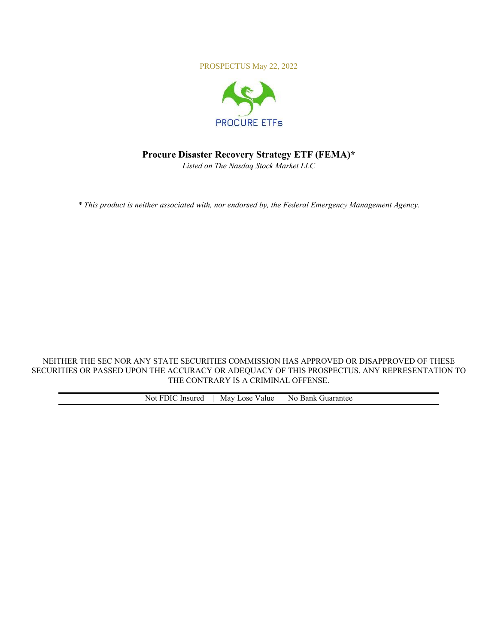PROSPECTUS May 22, 2022



# **Procure Disaster Recovery Strategy ETF (FEMA)\***

*Listed on The Nasdaq Stock Market LLC* 

*\* This product is neither associated with, nor endorsed by, the Federal Emergency Management Agency.* 

NEITHER THE SEC NOR ANY STATE SECURITIES COMMISSION HAS APPROVED OR DISAPPROVED OF THESE SECURITIES OR PASSED UPON THE ACCURACY OR ADEQUACY OF THIS PROSPECTUS. ANY REPRESENTATION TO THE CONTRARY IS A CRIMINAL OFFENSE.

| Not | Insured<br>ा भार | May Lose<br>Value | N0.<br>Bank<br>iuarantee |
|-----|------------------|-------------------|--------------------------|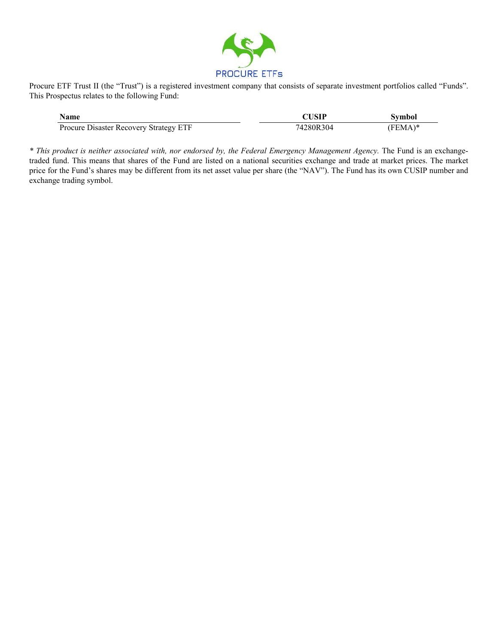

Procure ETF Trust II (the "Trust") is a registered investment company that consists of separate investment portfolios called "Funds". This Prospectus relates to the following Fund:

| <b>Name</b>                            | <b>CUSIP</b> | <b>Symbol</b> |
|----------------------------------------|--------------|---------------|
| Procure Disaster Recovery Strategy ETF | 74280R304    | $(FEMA)*$     |

*\* This product is neither associated with, nor endorsed by, the Federal Emergency Management Agency.* The Fund is an exchangetraded fund. This means that shares of the Fund are listed on a national securities exchange and trade at market prices. The market price for the Fund's shares may be different from its net asset value per share (the "NAV"). The Fund has its own CUSIP number and exchange trading symbol.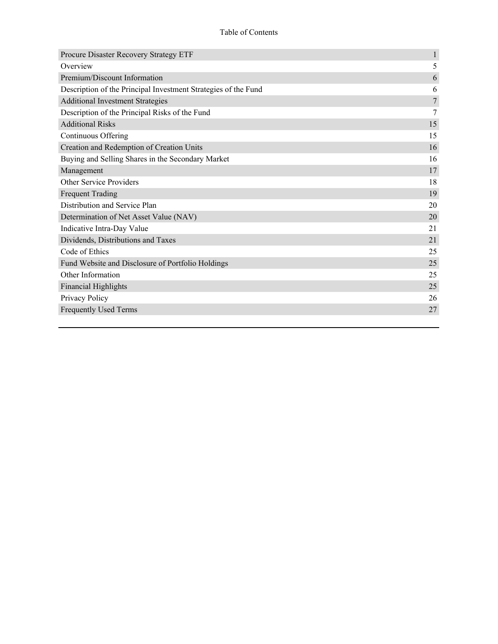| Procure Disaster Recovery Strategy ETF                         | $\mathbf{1}$ |
|----------------------------------------------------------------|--------------|
| Overview                                                       | 5            |
| Premium/Discount Information                                   | 6            |
| Description of the Principal Investment Strategies of the Fund | 6            |
| <b>Additional Investment Strategies</b>                        | $\tau$       |
| Description of the Principal Risks of the Fund                 | 7            |
| <b>Additional Risks</b>                                        | 15           |
| Continuous Offering                                            | 15           |
| Creation and Redemption of Creation Units                      | 16           |
| Buying and Selling Shares in the Secondary Market              | 16           |
| Management                                                     | 17           |
| <b>Other Service Providers</b>                                 | 18           |
| <b>Frequent Trading</b>                                        | 19           |
| Distribution and Service Plan                                  | 20           |
| Determination of Net Asset Value (NAV)                         | 20           |
| Indicative Intra-Day Value                                     | 21           |
| Dividends, Distributions and Taxes                             | 21           |
| Code of Ethics                                                 | 25           |
| Fund Website and Disclosure of Portfolio Holdings              | 25           |
| Other Information                                              | 25           |
| <b>Financial Highlights</b>                                    | 25           |
| Privacy Policy                                                 | 26           |
| <b>Frequently Used Terms</b>                                   | 27           |
|                                                                |              |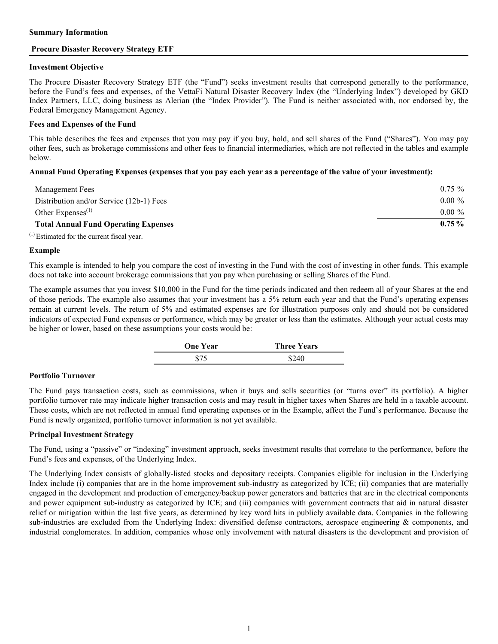#### <span id="page-3-0"></span>**Summary Information**

## **Procure Disaster Recovery Strategy ETF**

#### **Investment Objective**

The Procure Disaster Recovery Strategy ETF (the "Fund") seeks investment results that correspond generally to the performance, before the Fund's fees and expenses, of the VettaFi Natural Disaster Recovery Index (the "Underlying Index") developed by GKD Index Partners, LLC, doing business as Alerian (the "Index Provider"). The Fund is neither associated with, nor endorsed by, the Federal Emergency Management Agency.

## **Fees and Expenses of the Fund**

This table describes the fees and expenses that you may pay if you buy, hold, and sell shares of the Fund ("Shares"). You may pay other fees, such as brokerage commissions and other fees to financial intermediaries, which are not reflected in the tables and example below.

# **Annual Fund Operating Expenses (expenses that you pay each year as a percentage of the value of your investment):**

| Management Fees                             | $0.75 \%$ |
|---------------------------------------------|-----------|
| Distribution and/or Service (12b-1) Fees    | $0.00 \%$ |
| Other Expenses <sup><math>(1)</math></sup>  | $0.00 \%$ |
| <b>Total Annual Fund Operating Expenses</b> | $0.75\%$  |

 $<sup>(1)</sup>$  Estimated for the current fiscal year.</sup>

#### **Example**

This example is intended to help you compare the cost of investing in the Fund with the cost of investing in other funds. This example does not take into account brokerage commissions that you pay when purchasing or selling Shares of the Fund.

The example assumes that you invest \$10,000 in the Fund for the time periods indicated and then redeem all of your Shares at the end of those periods. The example also assumes that your investment has a 5% return each year and that the Fund's operating expenses remain at current levels. The return of 5% and estimated expenses are for illustration purposes only and should not be considered indicators of expected Fund expenses or performance, which may be greater or less than the estimates. Although your actual costs may be higher or lower, based on these assumptions your costs would be:

| <b>One Year</b> | <b>Three Years</b> |
|-----------------|--------------------|
|                 |                    |

# **Portfolio Turnover**

The Fund pays transaction costs, such as commissions, when it buys and sells securities (or "turns over" its portfolio). A higher portfolio turnover rate may indicate higher transaction costs and may result in higher taxes when Shares are held in a taxable account. These costs, which are not reflected in annual fund operating expenses or in the Example, affect the Fund's performance. Because the Fund is newly organized, portfolio turnover information is not yet available.

# **Principal Investment Strategy**

The Fund, using a "passive" or "indexing" investment approach, seeks investment results that correlate to the performance, before the Fund's fees and expenses, of the Underlying Index.

The Underlying Index consists of globally-listed stocks and depositary receipts. Companies eligible for inclusion in the Underlying Index include (i) companies that are in the home improvement sub-industry as categorized by ICE; (ii) companies that are materially engaged in the development and production of emergency/backup power generators and batteries that are in the electrical components and power equipment sub-industry as categorized by ICE; and (iii) companies with government contracts that aid in natural disaster relief or mitigation within the last five years, as determined by key word hits in publicly available data. Companies in the following sub-industries are excluded from the Underlying Index: diversified defense contractors, aerospace engineering & components, and industrial conglomerates. In addition, companies whose only involvement with natural disasters is the development and provision of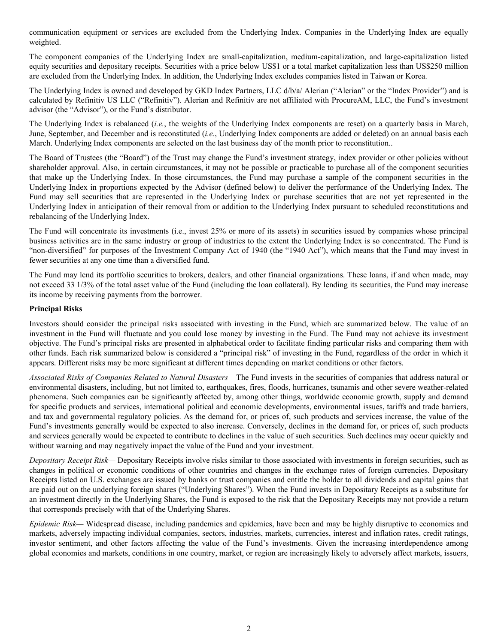communication equipment or services are excluded from the Underlying Index. Companies in the Underlying Index are equally weighted.

The component companies of the Underlying Index are small-capitalization, medium-capitalization, and large-capitalization listed equity securities and depositary receipts. Securities with a price below US\$1 or a total market capitalization less than US\$250 million are excluded from the Underlying Index. In addition, the Underlying Index excludes companies listed in Taiwan or Korea.

The Underlying Index is owned and developed by GKD Index Partners, LLC d/b/a/ Alerian ("Alerian" or the "Index Provider") and is calculated by Refinitiv US LLC ("Refinitiv"). Alerian and Refinitiv are not affiliated with ProcureAM, LLC, the Fund's investment advisor (the "Advisor"), or the Fund's distributor.

The Underlying Index is rebalanced (*i.e.*, the weights of the Underlying Index components are reset) on a quarterly basis in March, June, September, and December and is reconstituted (*i.e.*, Underlying Index components are added or deleted) on an annual basis each March. Underlying Index components are selected on the last business day of the month prior to reconstitution..

The Board of Trustees (the "Board") of the Trust may change the Fund's investment strategy, index provider or other policies without shareholder approval. Also, in certain circumstances, it may not be possible or practicable to purchase all of the component securities that make up the Underlying Index. In those circumstances, the Fund may purchase a sample of the component securities in the Underlying Index in proportions expected by the Advisor (defined below) to deliver the performance of the Underlying Index. The Fund may sell securities that are represented in the Underlying Index or purchase securities that are not yet represented in the Underlying Index in anticipation of their removal from or addition to the Underlying Index pursuant to scheduled reconstitutions and rebalancing of the Underlying Index.

The Fund will concentrate its investments (i.e., invest 25% or more of its assets) in securities issued by companies whose principal business activities are in the same industry or group of industries to the extent the Underlying Index is so concentrated. The Fund is "non-diversified" for purposes of the Investment Company Act of 1940 (the "1940 Act"), which means that the Fund may invest in fewer securities at any one time than a diversified fund.

The Fund may lend its portfolio securities to brokers, dealers, and other financial organizations. These loans, if and when made, may not exceed 33 1/3% of the total asset value of the Fund (including the loan collateral). By lending its securities, the Fund may increase its income by receiving payments from the borrower.

# **Principal Risks**

Investors should consider the principal risks associated with investing in the Fund, which are summarized below. The value of an investment in the Fund will fluctuate and you could lose money by investing in the Fund. The Fund may not achieve its investment objective. The Fund's principal risks are presented in alphabetical order to facilitate finding particular risks and comparing them with other funds. Each risk summarized below is considered a "principal risk" of investing in the Fund, regardless of the order in which it appears. Different risks may be more significant at different times depending on market conditions or other factors.

*Associated Risks of Companies Related to Natural Disasters*—The Fund invests in the securities of companies that address natural or environmental disasters, including, but not limited to, earthquakes, fires, floods, hurricanes, tsunamis and other severe weather-related phenomena. Such companies can be significantly affected by, among other things, worldwide economic growth, supply and demand for specific products and services, international political and economic developments, environmental issues, tariffs and trade barriers, and tax and governmental regulatory policies. As the demand for, or prices of, such products and services increase, the value of the Fund's investments generally would be expected to also increase. Conversely, declines in the demand for, or prices of, such products and services generally would be expected to contribute to declines in the value of such securities. Such declines may occur quickly and without warning and may negatively impact the value of the Fund and your investment.

*Depositary Receipt Risk—* Depositary Receipts involve risks similar to those associated with investments in foreign securities, such as changes in political or economic conditions of other countries and changes in the exchange rates of foreign currencies. Depositary Receipts listed on U.S. exchanges are issued by banks or trust companies and entitle the holder to all dividends and capital gains that are paid out on the underlying foreign shares ("Underlying Shares"). When the Fund invests in Depositary Receipts as a substitute for an investment directly in the Underlying Shares, the Fund is exposed to the risk that the Depositary Receipts may not provide a return that corresponds precisely with that of the Underlying Shares.

*Epidemic Risk—* Widespread disease, including pandemics and epidemics, have been and may be highly disruptive to economies and markets, adversely impacting individual companies, sectors, industries, markets, currencies, interest and inflation rates, credit ratings, investor sentiment, and other factors affecting the value of the Fund's investments. Given the increasing interdependence among global economies and markets, conditions in one country, market, or region are increasingly likely to adversely affect markets, issuers,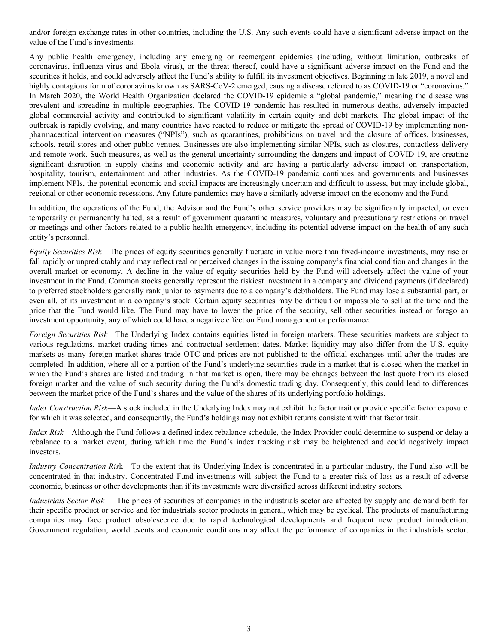and/or foreign exchange rates in other countries, including the U.S. Any such events could have a significant adverse impact on the value of the Fund's investments.

Any public health emergency, including any emerging or reemergent epidemics (including, without limitation, outbreaks of coronavirus, influenza virus and Ebola virus), or the threat thereof, could have a significant adverse impact on the Fund and the securities it holds, and could adversely affect the Fund's ability to fulfill its investment objectives. Beginning in late 2019, a novel and highly contagious form of coronavirus known as SARS-CoV-2 emerged, causing a disease referred to as COVID-19 or "coronavirus." In March 2020, the World Health Organization declared the COVID-19 epidemic a "global pandemic," meaning the disease was prevalent and spreading in multiple geographies. The COVID-19 pandemic has resulted in numerous deaths, adversely impacted global commercial activity and contributed to significant volatility in certain equity and debt markets. The global impact of the outbreak is rapidly evolving, and many countries have reacted to reduce or mitigate the spread of COVID-19 by implementing nonpharmaceutical intervention measures ("NPIs"), such as quarantines, prohibitions on travel and the closure of offices, businesses, schools, retail stores and other public venues. Businesses are also implementing similar NPIs, such as closures, contactless delivery and remote work. Such measures, as well as the general uncertainty surrounding the dangers and impact of COVID-19, are creating significant disruption in supply chains and economic activity and are having a particularly adverse impact on transportation, hospitality, tourism, entertainment and other industries. As the COVID-19 pandemic continues and governments and businesses implement NPIs, the potential economic and social impacts are increasingly uncertain and difficult to assess, but may include global, regional or other economic recessions. Any future pandemics may have a similarly adverse impact on the economy and the Fund.

In addition, the operations of the Fund, the Advisor and the Fund's other service providers may be significantly impacted, or even temporarily or permanently halted, as a result of government quarantine measures, voluntary and precautionary restrictions on travel or meetings and other factors related to a public health emergency, including its potential adverse impact on the health of any such entity's personnel.

*Equity Securities Risk*—The prices of equity securities generally fluctuate in value more than fixed-income investments, may rise or fall rapidly or unpredictably and may reflect real or perceived changes in the issuing company's financial condition and changes in the overall market or economy. A decline in the value of equity securities held by the Fund will adversely affect the value of your investment in the Fund. Common stocks generally represent the riskiest investment in a company and dividend payments (if declared) to preferred stockholders generally rank junior to payments due to a company's debtholders. The Fund may lose a substantial part, or even all, of its investment in a company's stock. Certain equity securities may be difficult or impossible to sell at the time and the price that the Fund would like. The Fund may have to lower the price of the security, sell other securities instead or forego an investment opportunity, any of which could have a negative effect on Fund management or performance.

*Foreign Securities Risk*—The Underlying Index contains equities listed in foreign markets. These securities markets are subject to various regulations, market trading times and contractual settlement dates. Market liquidity may also differ from the U.S. equity markets as many foreign market shares trade OTC and prices are not published to the official exchanges until after the trades are completed. In addition, where all or a portion of the Fund's underlying securities trade in a market that is closed when the market in which the Fund's shares are listed and trading in that market is open, there may be changes between the last quote from its closed foreign market and the value of such security during the Fund's domestic trading day. Consequently, this could lead to differences between the market price of the Fund's shares and the value of the shares of its underlying portfolio holdings.

*Index Construction Risk*—A stock included in the Underlying Index may not exhibit the factor trait or provide specific factor exposure for which it was selected, and consequently, the Fund's holdings may not exhibit returns consistent with that factor trait.

*Index Risk*—Although the Fund follows a defined index rebalance schedule, the Index Provider could determine to suspend or delay a rebalance to a market event, during which time the Fund's index tracking risk may be heightened and could negatively impact investors.

*Industry Concentration Ris*k—To the extent that its Underlying Index is concentrated in a particular industry, the Fund also will be concentrated in that industry. Concentrated Fund investments will subject the Fund to a greater risk of loss as a result of adverse economic, business or other developments than if its investments were diversified across different industry sectors.

*Industrials Sector Risk —* The prices of securities of companies in the industrials sector are affected by supply and demand both for their specific product or service and for industrials sector products in general, which may be cyclical. The products of manufacturing companies may face product obsolescence due to rapid technological developments and frequent new product introduction. Government regulation, world events and economic conditions may affect the performance of companies in the industrials sector.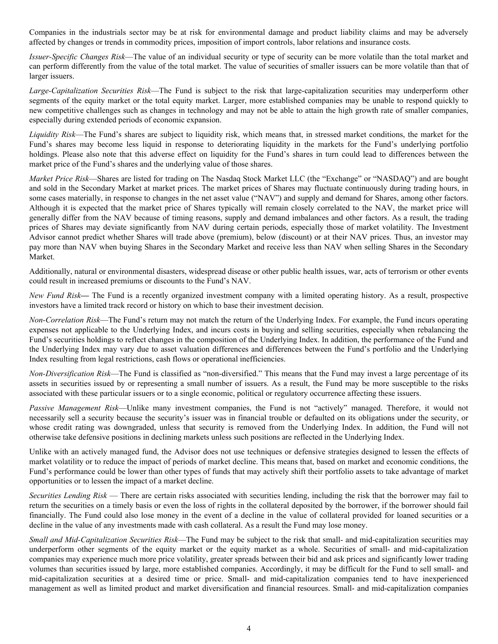Companies in the industrials sector may be at risk for environmental damage and product liability claims and may be adversely affected by changes or trends in commodity prices, imposition of import controls, labor relations and insurance costs.

*Issuer-Specific Changes Risk*—The value of an individual security or type of security can be more volatile than the total market and can perform differently from the value of the total market. The value of securities of smaller issuers can be more volatile than that of larger issuers.

*Large-Capitalization Securities Risk*—The Fund is subject to the risk that large-capitalization securities may underperform other segments of the equity market or the total equity market. Larger, more established companies may be unable to respond quickly to new competitive challenges such as changes in technology and may not be able to attain the high growth rate of smaller companies, especially during extended periods of economic expansion.

*Liquidity Risk*—The Fund's shares are subject to liquidity risk, which means that, in stressed market conditions, the market for the Fund's shares may become less liquid in response to deteriorating liquidity in the markets for the Fund's underlying portfolio holdings. Please also note that this adverse effect on liquidity for the Fund's shares in turn could lead to differences between the market price of the Fund's shares and the underlying value of those shares.

*Market Price Risk*—Shares are listed for trading on The Nasdaq Stock Market LLC (the "Exchange" or "NASDAQ") and are bought and sold in the Secondary Market at market prices. The market prices of Shares may fluctuate continuously during trading hours, in some cases materially, in response to changes in the net asset value ("NAV") and supply and demand for Shares, among other factors. Although it is expected that the market price of Shares typically will remain closely correlated to the NAV, the market price will generally differ from the NAV because of timing reasons, supply and demand imbalances and other factors. As a result, the trading prices of Shares may deviate significantly from NAV during certain periods, especially those of market volatility. The Investment Advisor cannot predict whether Shares will trade above (premium), below (discount) or at their NAV prices. Thus, an investor may pay more than NAV when buying Shares in the Secondary Market and receive less than NAV when selling Shares in the Secondary Market.

Additionally, natural or environmental disasters, widespread disease or other public health issues, war, acts of terrorism or other events could result in increased premiums or discounts to the Fund's NAV.

*New Fund Risk***—** The Fund is a recently organized investment company with a limited operating history. As a result, prospective investors have a limited track record or history on which to base their investment decision.

*Non-Correlation Risk*—The Fund's return may not match the return of the Underlying Index. For example, the Fund incurs operating expenses not applicable to the Underlying Index, and incurs costs in buying and selling securities, especially when rebalancing the Fund's securities holdings to reflect changes in the composition of the Underlying Index. In addition, the performance of the Fund and the Underlying Index may vary due to asset valuation differences and differences between the Fund's portfolio and the Underlying Index resulting from legal restrictions, cash flows or operational inefficiencies.

*Non-Diversification Risk*—The Fund is classified as "non-diversified." This means that the Fund may invest a large percentage of its assets in securities issued by or representing a small number of issuers. As a result, the Fund may be more susceptible to the risks associated with these particular issuers or to a single economic, political or regulatory occurrence affecting these issuers.

*Passive Management Risk*—Unlike many investment companies, the Fund is not "actively" managed. Therefore, it would not necessarily sell a security because the security's issuer was in financial trouble or defaulted on its obligations under the security, or whose credit rating was downgraded, unless that security is removed from the Underlying Index. In addition, the Fund will not otherwise take defensive positions in declining markets unless such positions are reflected in the Underlying Index.

Unlike with an actively managed fund, the Advisor does not use techniques or defensive strategies designed to lessen the effects of market volatility or to reduce the impact of periods of market decline. This means that, based on market and economic conditions, the Fund's performance could be lower than other types of funds that may actively shift their portfolio assets to take advantage of market opportunities or to lessen the impact of a market decline.

*Securities Lending Risk* — There are certain risks associated with securities lending, including the risk that the borrower may fail to return the securities on a timely basis or even the loss of rights in the collateral deposited by the borrower, if the borrower should fail financially. The Fund could also lose money in the event of a decline in the value of collateral provided for loaned securities or a decline in the value of any investments made with cash collateral. As a result the Fund may lose money.

*Small and Mid-Capitalization Securities Risk*—The Fund may be subject to the risk that small- and mid-capitalization securities may underperform other segments of the equity market or the equity market as a whole. Securities of small- and mid-capitalization companies may experience much more price volatility, greater spreads between their bid and ask prices and significantly lower trading volumes than securities issued by large, more established companies. Accordingly, it may be difficult for the Fund to sell small- and mid-capitalization securities at a desired time or price. Small- and mid-capitalization companies tend to have inexperienced management as well as limited product and market diversification and financial resources. Small- and mid-capitalization companies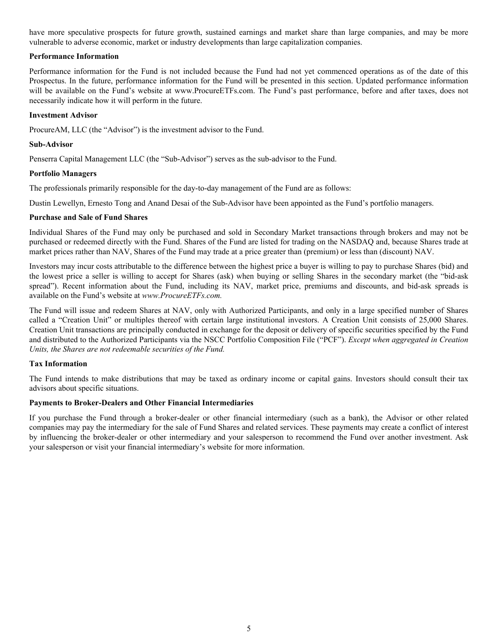<span id="page-7-0"></span>have more speculative prospects for future growth, sustained earnings and market share than large companies, and may be more vulnerable to adverse economic, market or industry developments than large capitalization companies.

# **Performance Information**

Performance information for the Fund is not included because the Fund had not yet commenced operations as of the date of this Prospectus. In the future, performance information for the Fund will be presented in this section. Updated performance information will be available on the Fund's website at www.ProcureETFs.com. The Fund's past performance, before and after taxes, does not necessarily indicate how it will perform in the future.

# **Investment Advisor**

ProcureAM, LLC (the "Advisor") is the investment advisor to the Fund.

# **Sub-Advisor**

Penserra Capital Management LLC (the "Sub-Advisor") serves as the sub-advisor to the Fund.

# **Portfolio Managers**

The professionals primarily responsible for the day-to-day management of the Fund are as follows:

Dustin Lewellyn, Ernesto Tong and Anand Desai of the Sub-Advisor have been appointed as the Fund's portfolio managers.

# **Purchase and Sale of Fund Shares**

Individual Shares of the Fund may only be purchased and sold in Secondary Market transactions through brokers and may not be purchased or redeemed directly with the Fund. Shares of the Fund are listed for trading on the NASDAQ and, because Shares trade at market prices rather than NAV, Shares of the Fund may trade at a price greater than (premium) or less than (discount) NAV.

Investors may incur costs attributable to the difference between the highest price a buyer is willing to pay to purchase Shares (bid) and the lowest price a seller is willing to accept for Shares (ask) when buying or selling Shares in the secondary market (the "bid-ask spread"). Recent information about the Fund, including its NAV, market price, premiums and discounts, and bid-ask spreads is available on the Fund's website at *www.ProcureETFs.com.*

The Fund will issue and redeem Shares at NAV, only with Authorized Participants, and only in a large specified number of Shares called a "Creation Unit" or multiples thereof with certain large institutional investors. A Creation Unit consists of 25,000 Shares. Creation Unit transactions are principally conducted in exchange for the deposit or delivery of specific securities specified by the Fund and distributed to the Authorized Participants via the NSCC Portfolio Composition File ("PCF"). *Except when aggregated in Creation Units, the Shares are not redeemable securities of the Fund.*

# **Tax Information**

The Fund intends to make distributions that may be taxed as ordinary income or capital gains. Investors should consult their tax advisors about specific situations.

# **Payments to Broker-Dealers and Other Financial Intermediaries**

If you purchase the Fund through a broker-dealer or other financial intermediary (such as a bank), the Advisor or other related companies may pay the intermediary for the sale of Fund Shares and related services. These payments may create a conflict of interest by influencing the broker-dealer or other intermediary and your salesperson to recommend the Fund over another investment. Ask your salesperson or visit your financial intermediary's website for more information.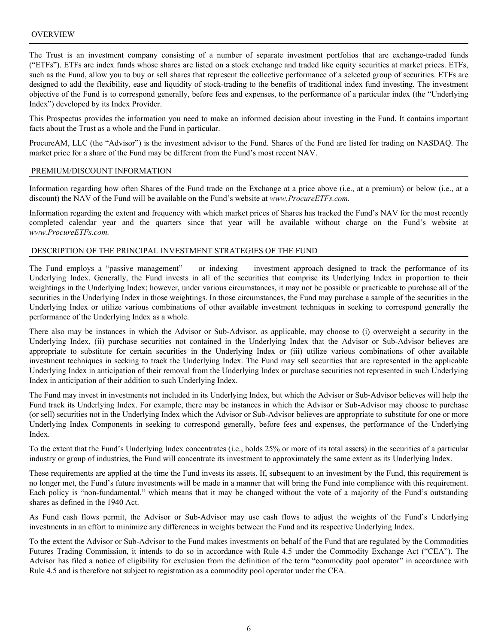<span id="page-8-0"></span>The Trust is an investment company consisting of a number of separate investment portfolios that are exchange-traded funds ("ETFs"). ETFs are index funds whose shares are listed on a stock exchange and traded like equity securities at market prices. ETFs, such as the Fund, allow you to buy or sell shares that represent the collective performance of a selected group of securities. ETFs are designed to add the flexibility, ease and liquidity of stock-trading to the benefits of traditional index fund investing. The investment objective of the Fund is to correspond generally, before fees and expenses, to the performance of a particular index (the "Underlying Index") developed by its Index Provider.

This Prospectus provides the information you need to make an informed decision about investing in the Fund. It contains important facts about the Trust as a whole and the Fund in particular.

ProcureAM, LLC (the "Advisor") is the investment advisor to the Fund. Shares of the Fund are listed for trading on NASDAQ. The market price for a share of the Fund may be different from the Fund's most recent NAV.

#### PREMIUM/DISCOUNT INFORMATION

Information regarding how often Shares of the Fund trade on the Exchange at a price above (i.e., at a premium) or below (i.e., at a discount) the NAV of the Fund will be available on the Fund's website at *www.ProcureETFs.com.*

Information regarding the extent and frequency with which market prices of Shares has tracked the Fund's NAV for the most recently completed calendar year and the quarters since that year will be available without charge on the Fund's website at *www.ProcureETFs.com.*

# DESCRIPTION OF THE PRINCIPAL INVESTMENT STRATEGIES OF THE FUND

The Fund employs a "passive management" — or indexing — investment approach designed to track the performance of its Underlying Index. Generally, the Fund invests in all of the securities that comprise its Underlying Index in proportion to their weightings in the Underlying Index; however, under various circumstances, it may not be possible or practicable to purchase all of the securities in the Underlying Index in those weightings. In those circumstances, the Fund may purchase a sample of the securities in the Underlying Index or utilize various combinations of other available investment techniques in seeking to correspond generally the performance of the Underlying Index as a whole.

There also may be instances in which the Advisor or Sub-Advisor, as applicable, may choose to (i) overweight a security in the Underlying Index, (ii) purchase securities not contained in the Underlying Index that the Advisor or Sub-Advisor believes are appropriate to substitute for certain securities in the Underlying Index or (iii) utilize various combinations of other available investment techniques in seeking to track the Underlying Index. The Fund may sell securities that are represented in the applicable Underlying Index in anticipation of their removal from the Underlying Index or purchase securities not represented in such Underlying Index in anticipation of their addition to such Underlying Index.

The Fund may invest in investments not included in its Underlying Index, but which the Advisor or Sub-Advisor believes will help the Fund track its Underlying Index. For example, there may be instances in which the Advisor or Sub-Advisor may choose to purchase (or sell) securities not in the Underlying Index which the Advisor or Sub-Advisor believes are appropriate to substitute for one or more Underlying Index Components in seeking to correspond generally, before fees and expenses, the performance of the Underlying Index.

To the extent that the Fund's Underlying Index concentrates (i.e., holds 25% or more of its total assets) in the securities of a particular industry or group of industries, the Fund will concentrate its investment to approximately the same extent as its Underlying Index.

These requirements are applied at the time the Fund invests its assets. If, subsequent to an investment by the Fund, this requirement is no longer met, the Fund's future investments will be made in a manner that will bring the Fund into compliance with this requirement. Each policy is "non-fundamental," which means that it may be changed without the vote of a majority of the Fund's outstanding shares as defined in the 1940 Act.

As Fund cash flows permit, the Advisor or Sub-Advisor may use cash flows to adjust the weights of the Fund's Underlying investments in an effort to minimize any differences in weights between the Fund and its respective Underlying Index.

To the extent the Advisor or Sub-Advisor to the Fund makes investments on behalf of the Fund that are regulated by the Commodities Futures Trading Commission, it intends to do so in accordance with Rule 4.5 under the Commodity Exchange Act ("CEA"). The Advisor has filed a notice of eligibility for exclusion from the definition of the term "commodity pool operator" in accordance with Rule 4.5 and is therefore not subject to registration as a commodity pool operator under the CEA.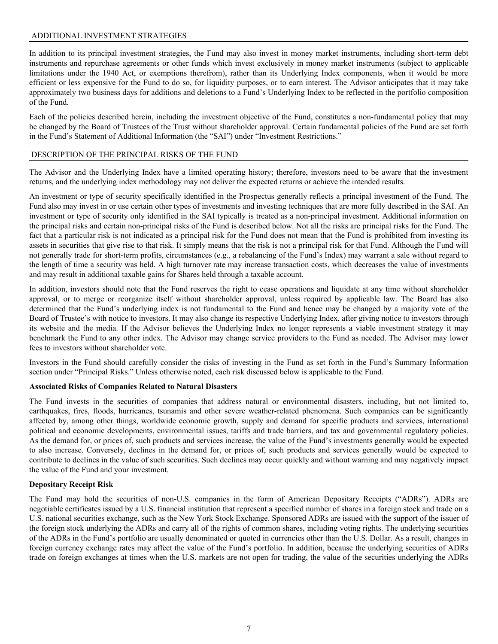# <span id="page-9-0"></span>ADDITIONAL INVESTMENT STRATEGIES

In addition to its principal investment strategies, the Fund may also invest in money market instruments, including short-term debt instruments and repurchase agreements or other funds which invest exclusively in money market instruments (subject to applicable limitations under the 1940 Act, or exemptions therefrom), rather than its Underlying Index components, when it would be more efficient or less expensive for the Fund to do so, for liquidity purposes, or to earn interest. The Advisor anticipates that it may take approximately two business days for additions and deletions to a Fund's Underlying Index to be reflected in the portfolio composition of the Fund.

Each of the policies described herein, including the investment objective of the Fund, constitutes a non-fundamental policy that may be changed by the Board of Trustees of the Trust without shareholder approval. Certain fundamental policies of the Fund are set forth in the Fund's Statement of Additional Information (the "SAI") under "Investment Restrictions."

# DESCRIPTION OF THE PRINCIPAL RISKS OF THE FUND

The Advisor and the Underlying Index have a limited operating history; therefore, investors need to be aware that the investment returns, and the underlying index methodology may not deliver the expected returns or achieve the intended results.

An investment or type of security specifically identified in the Prospectus generally reflects a principal investment of the Fund. The Fund also may invest in or use certain other types of investments and investing techniques that are more fully described in the SAI. An investment or type of security only identified in the SAI typically is treated as a non-principal investment. Additional information on the principal risks and certain non-principal risks of the Fund is described below. Not all the risks are principal risks for the Fund. The fact that a particular risk is not indicated as a principal risk for the Fund does not mean that the Fund is prohibited from investing its assets in securities that give rise to that risk. It simply means that the risk is not a principal risk for that Fund. Although the Fund will not generally trade for short-term profits, circumstances (e.g., a rebalancing of the Fund's Index) may warrant a sale without regard to the length of time a security was held. A high turnover rate may increase transaction costs, which decreases the value of investments and may result in additional taxable gains for Shares held through a taxable account.

In addition, investors should note that the Fund reserves the right to cease operations and liquidate at any time without shareholder approval, or to merge or reorganize itself without shareholder approval, unless required by applicable law. The Board has also determined that the Fund's underlying index is not fundamental to the Fund and hence may be changed by a majority vote of the Board of Trustee's with notice to investors. It may also change its respective Underlying Index, after giving notice to investors through its website and the media. If the Advisor believes the Underlying Index no longer represents a viable investment strategy it may benchmark the Fund to any other index. The Advisor may change service providers to the Fund as needed. The Advisor may lower fees to investors without shareholder vote.

Investors in the Fund should carefully consider the risks of investing in the Fund as set forth in the Fund's Summary Information section under "Principal Risks." Unless otherwise noted, each risk discussed below is applicable to the Fund.

# **Associated Risks of Companies Related to Natural Disasters**

The Fund invests in the securities of companies that address natural or environmental disasters, including, but not limited to, earthquakes, fires, floods, hurricanes, tsunamis and other severe weather-related phenomena. Such companies can be significantly affected by, among other things, worldwide economic growth, supply and demand for specific products and services, international political and economic developments, environmental issues, tariffs and trade barriers, and tax and governmental regulatory policies. As the demand for, or prices of, such products and services increase, the value of the Fund's investments generally would be expected to also increase. Conversely, declines in the demand for, or prices of, such products and services generally would be expected to contribute to declines in the value of such securities. Such declines may occur quickly and without warning and may negatively impact the value of the Fund and your investment.

# **Depositary Receipt Risk**

The Fund may hold the securities of non-U.S. companies in the form of American Depositary Receipts ("ADRs"). ADRs are negotiable certificates issued by a U.S. financial institution that represent a specified number of shares in a foreign stock and trade on a U.S. national securities exchange, such as the New York Stock Exchange. Sponsored ADRs are issued with the support of the issuer of the foreign stock underlying the ADRs and carry all of the rights of common shares, including voting rights. The underlying securities of the ADRs in the Fund's portfolio are usually denominated or quoted in currencies other than the U.S. Dollar. As a result, changes in foreign currency exchange rates may affect the value of the Fund's portfolio. In addition, because the underlying securities of ADRs trade on foreign exchanges at times when the U.S. markets are not open for trading, the value of the securities underlying the ADRs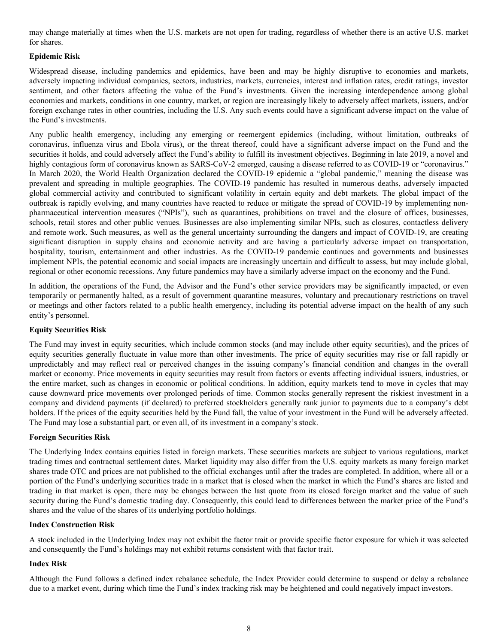may change materially at times when the U.S. markets are not open for trading, regardless of whether there is an active U.S. market for shares.

# **Epidemic Risk**

Widespread disease, including pandemics and epidemics, have been and may be highly disruptive to economies and markets, adversely impacting individual companies, sectors, industries, markets, currencies, interest and inflation rates, credit ratings, investor sentiment, and other factors affecting the value of the Fund's investments. Given the increasing interdependence among global economies and markets, conditions in one country, market, or region are increasingly likely to adversely affect markets, issuers, and/or foreign exchange rates in other countries, including the U.S. Any such events could have a significant adverse impact on the value of the Fund's investments.

Any public health emergency, including any emerging or reemergent epidemics (including, without limitation, outbreaks of coronavirus, influenza virus and Ebola virus), or the threat thereof, could have a significant adverse impact on the Fund and the securities it holds, and could adversely affect the Fund's ability to fulfill its investment objectives. Beginning in late 2019, a novel and highly contagious form of coronavirus known as SARS-CoV-2 emerged, causing a disease referred to as COVID-19 or "coronavirus." In March 2020, the World Health Organization declared the COVID-19 epidemic a "global pandemic," meaning the disease was prevalent and spreading in multiple geographies. The COVID-19 pandemic has resulted in numerous deaths, adversely impacted global commercial activity and contributed to significant volatility in certain equity and debt markets. The global impact of the outbreak is rapidly evolving, and many countries have reacted to reduce or mitigate the spread of COVID-19 by implementing nonpharmaceutical intervention measures ("NPIs"), such as quarantines, prohibitions on travel and the closure of offices, businesses, schools, retail stores and other public venues. Businesses are also implementing similar NPIs, such as closures, contactless delivery and remote work. Such measures, as well as the general uncertainty surrounding the dangers and impact of COVID-19, are creating significant disruption in supply chains and economic activity and are having a particularly adverse impact on transportation, hospitality, tourism, entertainment and other industries. As the COVID-19 pandemic continues and governments and businesses implement NPIs, the potential economic and social impacts are increasingly uncertain and difficult to assess, but may include global, regional or other economic recessions. Any future pandemics may have a similarly adverse impact on the economy and the Fund.

In addition, the operations of the Fund, the Advisor and the Fund's other service providers may be significantly impacted, or even temporarily or permanently halted, as a result of government quarantine measures, voluntary and precautionary restrictions on travel or meetings and other factors related to a public health emergency, including its potential adverse impact on the health of any such entity's personnel.

# **Equity Securities Risk**

The Fund may invest in equity securities, which include common stocks (and may include other equity securities), and the prices of equity securities generally fluctuate in value more than other investments. The price of equity securities may rise or fall rapidly or unpredictably and may reflect real or perceived changes in the issuing company's financial condition and changes in the overall market or economy. Price movements in equity securities may result from factors or events affecting individual issuers, industries, or the entire market, such as changes in economic or political conditions. In addition, equity markets tend to move in cycles that may cause downward price movements over prolonged periods of time. Common stocks generally represent the riskiest investment in a company and dividend payments (if declared) to preferred stockholders generally rank junior to payments due to a company's debt holders. If the prices of the equity securities held by the Fund fall, the value of your investment in the Fund will be adversely affected. The Fund may lose a substantial part, or even all, of its investment in a company's stock.

# **Foreign Securities Risk**

The Underlying Index contains equities listed in foreign markets. These securities markets are subject to various regulations, market trading times and contractual settlement dates. Market liquidity may also differ from the U.S. equity markets as many foreign market shares trade OTC and prices are not published to the official exchanges until after the trades are completed. In addition, where all or a portion of the Fund's underlying securities trade in a market that is closed when the market in which the Fund's shares are listed and trading in that market is open, there may be changes between the last quote from its closed foreign market and the value of such security during the Fund's domestic trading day. Consequently, this could lead to differences between the market price of the Fund's shares and the value of the shares of its underlying portfolio holdings.

# **Index Construction Risk**

A stock included in the Underlying Index may not exhibit the factor trait or provide specific factor exposure for which it was selected and consequently the Fund's holdings may not exhibit returns consistent with that factor trait.

# **Index Risk**

Although the Fund follows a defined index rebalance schedule, the Index Provider could determine to suspend or delay a rebalance due to a market event, during which time the Fund's index tracking risk may be heightened and could negatively impact investors.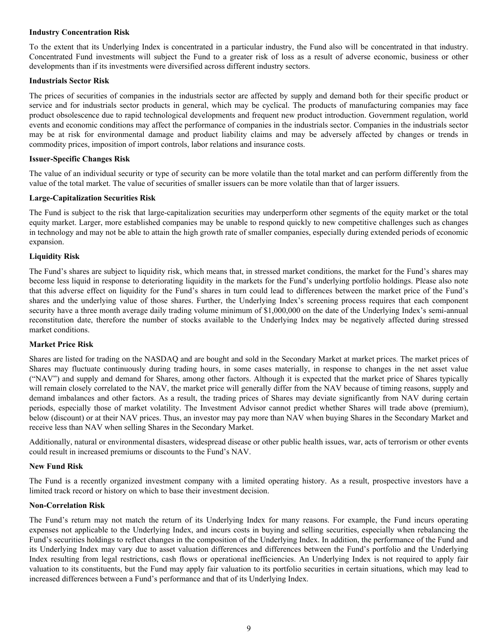#### **Industry Concentration Risk**

To the extent that its Underlying Index is concentrated in a particular industry, the Fund also will be concentrated in that industry. Concentrated Fund investments will subject the Fund to a greater risk of loss as a result of adverse economic, business or other developments than if its investments were diversified across different industry sectors.

#### **Industrials Sector Risk**

The prices of securities of companies in the industrials sector are affected by supply and demand both for their specific product or service and for industrials sector products in general, which may be cyclical. The products of manufacturing companies may face product obsolescence due to rapid technological developments and frequent new product introduction. Government regulation, world events and economic conditions may affect the performance of companies in the industrials sector. Companies in the industrials sector may be at risk for environmental damage and product liability claims and may be adversely affected by changes or trends in commodity prices, imposition of import controls, labor relations and insurance costs.

#### **Issuer-Specific Changes Risk**

The value of an individual security or type of security can be more volatile than the total market and can perform differently from the value of the total market. The value of securities of smaller issuers can be more volatile than that of larger issuers.

#### **Large-Capitalization Securities Risk**

The Fund is subject to the risk that large-capitalization securities may underperform other segments of the equity market or the total equity market. Larger, more established companies may be unable to respond quickly to new competitive challenges such as changes in technology and may not be able to attain the high growth rate of smaller companies, especially during extended periods of economic expansion.

#### **Liquidity Risk**

The Fund's shares are subject to liquidity risk, which means that, in stressed market conditions, the market for the Fund's shares may become less liquid in response to deteriorating liquidity in the markets for the Fund's underlying portfolio holdings. Please also note that this adverse effect on liquidity for the Fund's shares in turn could lead to differences between the market price of the Fund's shares and the underlying value of those shares. Further, the Underlying Index's screening process requires that each component security have a three month average daily trading volume minimum of \$1,000,000 on the date of the Underlying Index's semi-annual reconstitution date, therefore the number of stocks available to the Underlying Index may be negatively affected during stressed market conditions.

# **Market Price Risk**

Shares are listed for trading on the NASDAQ and are bought and sold in the Secondary Market at market prices. The market prices of Shares may fluctuate continuously during trading hours, in some cases materially, in response to changes in the net asset value ("NAV") and supply and demand for Shares, among other factors. Although it is expected that the market price of Shares typically will remain closely correlated to the NAV, the market price will generally differ from the NAV because of timing reasons, supply and demand imbalances and other factors. As a result, the trading prices of Shares may deviate significantly from NAV during certain periods, especially those of market volatility. The Investment Advisor cannot predict whether Shares will trade above (premium), below (discount) or at their NAV prices. Thus, an investor may pay more than NAV when buying Shares in the Secondary Market and receive less than NAV when selling Shares in the Secondary Market.

Additionally, natural or environmental disasters, widespread disease or other public health issues, war, acts of terrorism or other events could result in increased premiums or discounts to the Fund's NAV.

#### **New Fund Risk**

The Fund is a recently organized investment company with a limited operating history. As a result, prospective investors have a limited track record or history on which to base their investment decision.

# **Non-Correlation Risk**

The Fund's return may not match the return of its Underlying Index for many reasons. For example, the Fund incurs operating expenses not applicable to the Underlying Index, and incurs costs in buying and selling securities, especially when rebalancing the Fund's securities holdings to reflect changes in the composition of the Underlying Index. In addition, the performance of the Fund and its Underlying Index may vary due to asset valuation differences and differences between the Fund's portfolio and the Underlying Index resulting from legal restrictions, cash flows or operational inefficiencies. An Underlying Index is not required to apply fair valuation to its constituents, but the Fund may apply fair valuation to its portfolio securities in certain situations, which may lead to increased differences between a Fund's performance and that of its Underlying Index.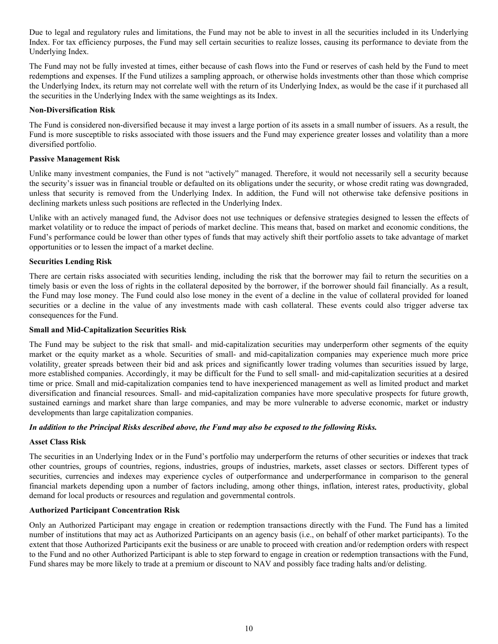Due to legal and regulatory rules and limitations, the Fund may not be able to invest in all the securities included in its Underlying Index. For tax efficiency purposes, the Fund may sell certain securities to realize losses, causing its performance to deviate from the Underlying Index.

The Fund may not be fully invested at times, either because of cash flows into the Fund or reserves of cash held by the Fund to meet redemptions and expenses. If the Fund utilizes a sampling approach, or otherwise holds investments other than those which comprise the Underlying Index, its return may not correlate well with the return of its Underlying Index, as would be the case if it purchased all the securities in the Underlying Index with the same weightings as its Index.

# **Non-Diversification Risk**

The Fund is considered non-diversified because it may invest a large portion of its assets in a small number of issuers. As a result, the Fund is more susceptible to risks associated with those issuers and the Fund may experience greater losses and volatility than a more diversified portfolio.

## **Passive Management Risk**

Unlike many investment companies, the Fund is not "actively" managed. Therefore, it would not necessarily sell a security because the security's issuer was in financial trouble or defaulted on its obligations under the security, or whose credit rating was downgraded, unless that security is removed from the Underlying Index. In addition, the Fund will not otherwise take defensive positions in declining markets unless such positions are reflected in the Underlying Index.

Unlike with an actively managed fund, the Advisor does not use techniques or defensive strategies designed to lessen the effects of market volatility or to reduce the impact of periods of market decline. This means that, based on market and economic conditions, the Fund's performance could be lower than other types of funds that may actively shift their portfolio assets to take advantage of market opportunities or to lessen the impact of a market decline.

#### **Securities Lending Risk**

There are certain risks associated with securities lending, including the risk that the borrower may fail to return the securities on a timely basis or even the loss of rights in the collateral deposited by the borrower, if the borrower should fail financially. As a result, the Fund may lose money. The Fund could also lose money in the event of a decline in the value of collateral provided for loaned securities or a decline in the value of any investments made with cash collateral. These events could also trigger adverse tax consequences for the Fund.

#### **Small and Mid-Capitalization Securities Risk**

The Fund may be subject to the risk that small- and mid-capitalization securities may underperform other segments of the equity market or the equity market as a whole. Securities of small- and mid-capitalization companies may experience much more price volatility, greater spreads between their bid and ask prices and significantly lower trading volumes than securities issued by large, more established companies. Accordingly, it may be difficult for the Fund to sell small- and mid-capitalization securities at a desired time or price. Small and mid-capitalization companies tend to have inexperienced management as well as limited product and market diversification and financial resources. Small- and mid-capitalization companies have more speculative prospects for future growth, sustained earnings and market share than large companies, and may be more vulnerable to adverse economic, market or industry developments than large capitalization companies.

# *In addition to the Principal Risks described above, the Fund may also be exposed to the following Risks.*

# **Asset Class Risk**

The securities in an Underlying Index or in the Fund's portfolio may underperform the returns of other securities or indexes that track other countries, groups of countries, regions, industries, groups of industries, markets, asset classes or sectors. Different types of securities, currencies and indexes may experience cycles of outperformance and underperformance in comparison to the general financial markets depending upon a number of factors including, among other things, inflation, interest rates, productivity, global demand for local products or resources and regulation and governmental controls.

# **Authorized Participant Concentration Risk**

Only an Authorized Participant may engage in creation or redemption transactions directly with the Fund. The Fund has a limited number of institutions that may act as Authorized Participants on an agency basis (i.e., on behalf of other market participants). To the extent that those Authorized Participants exit the business or are unable to proceed with creation and/or redemption orders with respect to the Fund and no other Authorized Participant is able to step forward to engage in creation or redemption transactions with the Fund, Fund shares may be more likely to trade at a premium or discount to NAV and possibly face trading halts and/or delisting.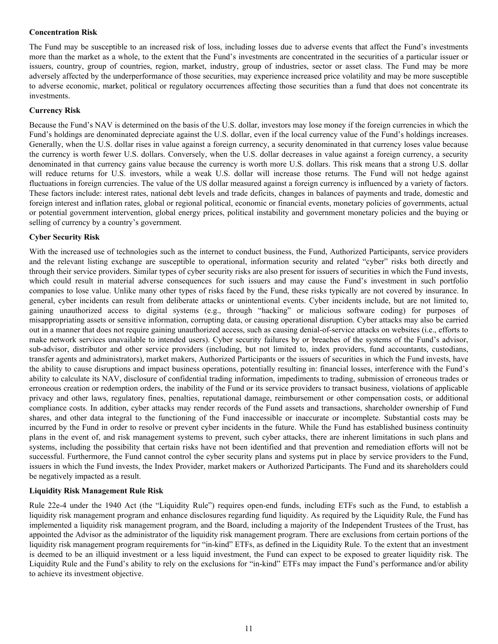# **Concentration Risk**

The Fund may be susceptible to an increased risk of loss, including losses due to adverse events that affect the Fund's investments more than the market as a whole, to the extent that the Fund's investments are concentrated in the securities of a particular issuer or issuers, country, group of countries, region, market, industry, group of industries, sector or asset class. The Fund may be more adversely affected by the underperformance of those securities, may experience increased price volatility and may be more susceptible to adverse economic, market, political or regulatory occurrences affecting those securities than a fund that does not concentrate its investments.

#### **Currency Risk**

Because the Fund's NAV is determined on the basis of the U.S. dollar, investors may lose money if the foreign currencies in which the Fund's holdings are denominated depreciate against the U.S. dollar, even if the local currency value of the Fund's holdings increases. Generally, when the U.S. dollar rises in value against a foreign currency, a security denominated in that currency loses value because the currency is worth fewer U.S. dollars. Conversely, when the U.S. dollar decreases in value against a foreign currency, a security denominated in that currency gains value because the currency is worth more U.S. dollars. This risk means that a strong U.S. dollar will reduce returns for U.S. investors, while a weak U.S. dollar will increase those returns. The Fund will not hedge against fluctuations in foreign currencies. The value of the US dollar measured against a foreign currency is influenced by a variety of factors. These factors include: interest rates, national debt levels and trade deficits, changes in balances of payments and trade, domestic and foreign interest and inflation rates, global or regional political, economic or financial events, monetary policies of governments, actual or potential government intervention, global energy prices, political instability and government monetary policies and the buying or selling of currency by a country's government.

#### **Cyber Security Risk**

With the increased use of technologies such as the internet to conduct business, the Fund, Authorized Participants, service providers and the relevant listing exchange are susceptible to operational, information security and related "cyber" risks both directly and through their service providers. Similar types of cyber security risks are also present for issuers of securities in which the Fund invests, which could result in material adverse consequences for such issuers and may cause the Fund's investment in such portfolio companies to lose value. Unlike many other types of risks faced by the Fund, these risks typically are not covered by insurance. In general, cyber incidents can result from deliberate attacks or unintentional events. Cyber incidents include, but are not limited to, gaining unauthorized access to digital systems (e.g., through "hacking" or malicious software coding) for purposes of misappropriating assets or sensitive information, corrupting data, or causing operational disruption. Cyber attacks may also be carried out in a manner that does not require gaining unauthorized access, such as causing denial-of-service attacks on websites (i.e., efforts to make network services unavailable to intended users). Cyber security failures by or breaches of the systems of the Fund's advisor, sub-advisor, distributor and other service providers (including, but not limited to, index providers, fund accountants, custodians, transfer agents and administrators), market makers, Authorized Participants or the issuers of securities in which the Fund invests, have the ability to cause disruptions and impact business operations, potentially resulting in: financial losses, interference with the Fund's ability to calculate its NAV, disclosure of confidential trading information, impediments to trading, submission of erroneous trades or erroneous creation or redemption orders, the inability of the Fund or its service providers to transact business, violations of applicable privacy and other laws, regulatory fines, penalties, reputational damage, reimbursement or other compensation costs, or additional compliance costs. In addition, cyber attacks may render records of the Fund assets and transactions, shareholder ownership of Fund shares, and other data integral to the functioning of the Fund inaccessible or inaccurate or incomplete. Substantial costs may be incurred by the Fund in order to resolve or prevent cyber incidents in the future. While the Fund has established business continuity plans in the event of, and risk management systems to prevent, such cyber attacks, there are inherent limitations in such plans and systems, including the possibility that certain risks have not been identified and that prevention and remediation efforts will not be successful. Furthermore, the Fund cannot control the cyber security plans and systems put in place by service providers to the Fund, issuers in which the Fund invests, the Index Provider, market makers or Authorized Participants. The Fund and its shareholders could be negatively impacted as a result.

#### **Liquidity Risk Management Rule Risk**

Rule 22e-4 under the 1940 Act (the "Liquidity Rule") requires open-end funds, including ETFs such as the Fund, to establish a liquidity risk management program and enhance disclosures regarding fund liquidity. As required by the Liquidity Rule, the Fund has implemented a liquidity risk management program, and the Board, including a majority of the Independent Trustees of the Trust, has appointed the Advisor as the administrator of the liquidity risk management program. There are exclusions from certain portions of the liquidity risk management program requirements for "in-kind" ETFs, as defined in the Liquidity Rule. To the extent that an investment is deemed to be an illiquid investment or a less liquid investment, the Fund can expect to be exposed to greater liquidity risk. The Liquidity Rule and the Fund's ability to rely on the exclusions for "in-kind" ETFs may impact the Fund's performance and/or ability to achieve its investment objective.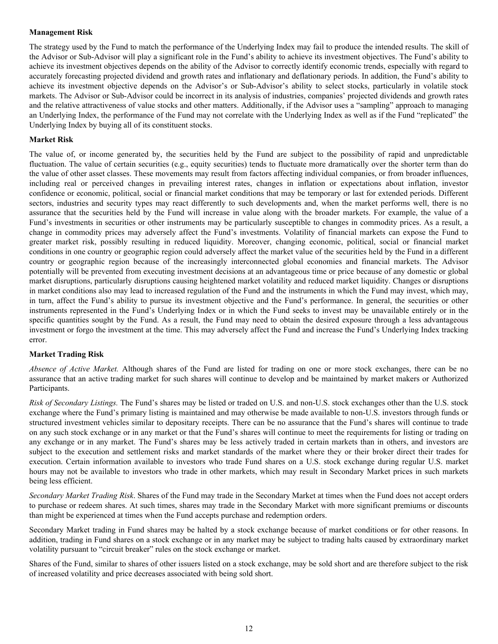## **Management Risk**

The strategy used by the Fund to match the performance of the Underlying Index may fail to produce the intended results. The skill of the Advisor or Sub-Advisor will play a significant role in the Fund's ability to achieve its investment objectives. The Fund's ability to achieve its investment objectives depends on the ability of the Advisor to correctly identify economic trends, especially with regard to accurately forecasting projected dividend and growth rates and inflationary and deflationary periods. In addition, the Fund's ability to achieve its investment objective depends on the Advisor's or Sub-Advisor's ability to select stocks, particularly in volatile stock markets. The Advisor or Sub-Advisor could be incorrect in its analysis of industries, companies' projected dividends and growth rates and the relative attractiveness of value stocks and other matters. Additionally, if the Advisor uses a "sampling" approach to managing an Underlying Index, the performance of the Fund may not correlate with the Underlying Index as well as if the Fund "replicated" the Underlying Index by buying all of its constituent stocks.

#### **Market Risk**

The value of, or income generated by, the securities held by the Fund are subject to the possibility of rapid and unpredictable fluctuation. The value of certain securities (e.g., equity securities) tends to fluctuate more dramatically over the shorter term than do the value of other asset classes. These movements may result from factors affecting individual companies, or from broader influences, including real or perceived changes in prevailing interest rates, changes in inflation or expectations about inflation, investor confidence or economic, political, social or financial market conditions that may be temporary or last for extended periods. Different sectors, industries and security types may react differently to such developments and, when the market performs well, there is no assurance that the securities held by the Fund will increase in value along with the broader markets. For example, the value of a Fund's investments in securities or other instruments may be particularly susceptible to changes in commodity prices. As a result, a change in commodity prices may adversely affect the Fund's investments. Volatility of financial markets can expose the Fund to greater market risk, possibly resulting in reduced liquidity. Moreover, changing economic, political, social or financial market conditions in one country or geographic region could adversely affect the market value of the securities held by the Fund in a different country or geographic region because of the increasingly interconnected global economies and financial markets. The Advisor potentially will be prevented from executing investment decisions at an advantageous time or price because of any domestic or global market disruptions, particularly disruptions causing heightened market volatility and reduced market liquidity. Changes or disruptions in market conditions also may lead to increased regulation of the Fund and the instruments in which the Fund may invest, which may, in turn, affect the Fund's ability to pursue its investment objective and the Fund's performance. In general, the securities or other instruments represented in the Fund's Underlying Index or in which the Fund seeks to invest may be unavailable entirely or in the specific quantities sought by the Fund. As a result, the Fund may need to obtain the desired exposure through a less advantageous investment or forgo the investment at the time. This may adversely affect the Fund and increase the Fund's Underlying Index tracking error.

#### **Market Trading Risk**

*Absence of Active Market.* Although shares of the Fund are listed for trading on one or more stock exchanges, there can be no assurance that an active trading market for such shares will continue to develop and be maintained by market makers or Authorized Participants.

*Risk of Secondary Listings.* The Fund's shares may be listed or traded on U.S. and non-U.S. stock exchanges other than the U.S. stock exchange where the Fund's primary listing is maintained and may otherwise be made available to non-U.S. investors through funds or structured investment vehicles similar to depositary receipts. There can be no assurance that the Fund's shares will continue to trade on any such stock exchange or in any market or that the Fund's shares will continue to meet the requirements for listing or trading on any exchange or in any market. The Fund's shares may be less actively traded in certain markets than in others, and investors are subject to the execution and settlement risks and market standards of the market where they or their broker direct their trades for execution. Certain information available to investors who trade Fund shares on a U.S. stock exchange during regular U.S. market hours may not be available to investors who trade in other markets, which may result in Secondary Market prices in such markets being less efficient.

*Secondary Market Trading Risk*. Shares of the Fund may trade in the Secondary Market at times when the Fund does not accept orders to purchase or redeem shares. At such times, shares may trade in the Secondary Market with more significant premiums or discounts than might be experienced at times when the Fund accepts purchase and redemption orders.

Secondary Market trading in Fund shares may be halted by a stock exchange because of market conditions or for other reasons. In addition, trading in Fund shares on a stock exchange or in any market may be subject to trading halts caused by extraordinary market volatility pursuant to "circuit breaker" rules on the stock exchange or market.

Shares of the Fund, similar to shares of other issuers listed on a stock exchange, may be sold short and are therefore subject to the risk of increased volatility and price decreases associated with being sold short.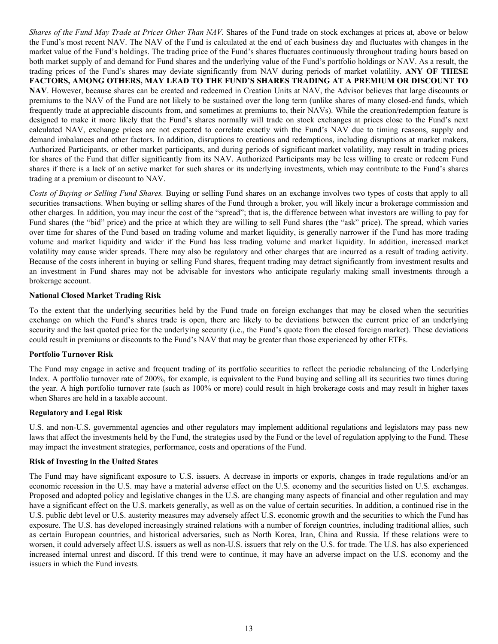*Shares of the Fund May Trade at Prices Other Than NAV*. Shares of the Fund trade on stock exchanges at prices at, above or below the Fund's most recent NAV. The NAV of the Fund is calculated at the end of each business day and fluctuates with changes in the market value of the Fund's holdings. The trading price of the Fund's shares fluctuates continuously throughout trading hours based on both market supply of and demand for Fund shares and the underlying value of the Fund's portfolio holdings or NAV. As a result, the trading prices of the Fund's shares may deviate significantly from NAV during periods of market volatility. **ANY OF THESE FACTORS, AMONG OTHERS, MAY LEAD TO THE FUND'S SHARES TRADING AT A PREMIUM OR DISCOUNT TO NAV**. However, because shares can be created and redeemed in Creation Units at NAV, the Advisor believes that large discounts or premiums to the NAV of the Fund are not likely to be sustained over the long term (unlike shares of many closed-end funds, which frequently trade at appreciable discounts from, and sometimes at premiums to, their NAVs). While the creation/redemption feature is designed to make it more likely that the Fund's shares normally will trade on stock exchanges at prices close to the Fund's next calculated NAV, exchange prices are not expected to correlate exactly with the Fund's NAV due to timing reasons, supply and demand imbalances and other factors. In addition, disruptions to creations and redemptions, including disruptions at market makers, Authorized Participants, or other market participants, and during periods of significant market volatility, may result in trading prices for shares of the Fund that differ significantly from its NAV. Authorized Participants may be less willing to create or redeem Fund shares if there is a lack of an active market for such shares or its underlying investments, which may contribute to the Fund's shares trading at a premium or discount to NAV.

*Costs of Buying or Selling Fund Shares.* Buying or selling Fund shares on an exchange involves two types of costs that apply to all securities transactions. When buying or selling shares of the Fund through a broker, you will likely incur a brokerage commission and other charges. In addition, you may incur the cost of the "spread"; that is, the difference between what investors are willing to pay for Fund shares (the "bid" price) and the price at which they are willing to sell Fund shares (the "ask" price). The spread, which varies over time for shares of the Fund based on trading volume and market liquidity, is generally narrower if the Fund has more trading volume and market liquidity and wider if the Fund has less trading volume and market liquidity. In addition, increased market volatility may cause wider spreads. There may also be regulatory and other charges that are incurred as a result of trading activity. Because of the costs inherent in buying or selling Fund shares, frequent trading may detract significantly from investment results and an investment in Fund shares may not be advisable for investors who anticipate regularly making small investments through a brokerage account.

# **National Closed Market Trading Risk**

To the extent that the underlying securities held by the Fund trade on foreign exchanges that may be closed when the securities exchange on which the Fund's shares trade is open, there are likely to be deviations between the current price of an underlying security and the last quoted price for the underlying security (i.e., the Fund's quote from the closed foreign market). These deviations could result in premiums or discounts to the Fund's NAV that may be greater than those experienced by other ETFs.

#### **Portfolio Turnover Risk**

The Fund may engage in active and frequent trading of its portfolio securities to reflect the periodic rebalancing of the Underlying Index. A portfolio turnover rate of 200%, for example, is equivalent to the Fund buying and selling all its securities two times during the year. A high portfolio turnover rate (such as 100% or more) could result in high brokerage costs and may result in higher taxes when Shares are held in a taxable account.

#### **Regulatory and Legal Risk**

U.S. and non-U.S. governmental agencies and other regulators may implement additional regulations and legislators may pass new laws that affect the investments held by the Fund, the strategies used by the Fund or the level of regulation applying to the Fund. These may impact the investment strategies, performance, costs and operations of the Fund.

#### **Risk of Investing in the United States**

The Fund may have significant exposure to U.S. issuers. A decrease in imports or exports, changes in trade regulations and/or an economic recession in the U.S. may have a material adverse effect on the U.S. economy and the securities listed on U.S. exchanges. Proposed and adopted policy and legislative changes in the U.S. are changing many aspects of financial and other regulation and may have a significant effect on the U.S. markets generally, as well as on the value of certain securities. In addition, a continued rise in the U.S. public debt level or U.S. austerity measures may adversely affect U.S. economic growth and the securities to which the Fund has exposure. The U.S. has developed increasingly strained relations with a number of foreign countries, including traditional allies, such as certain European countries, and historical adversaries, such as North Korea, Iran, China and Russia. If these relations were to worsen, it could adversely affect U.S. issuers as well as non-U.S. issuers that rely on the U.S. for trade. The U.S. has also experienced increased internal unrest and discord. If this trend were to continue, it may have an adverse impact on the U.S. economy and the issuers in which the Fund invests.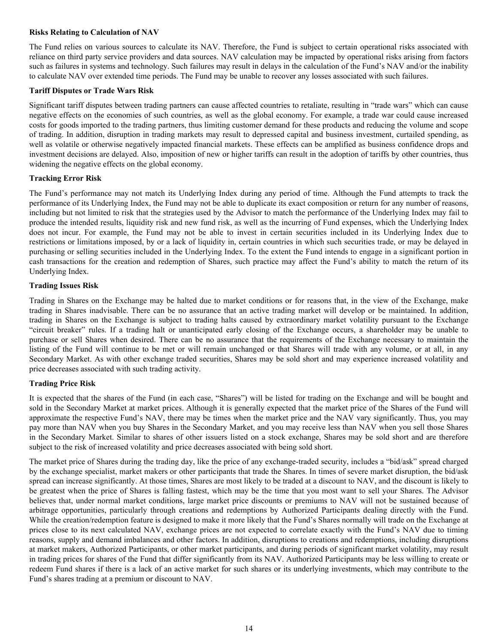#### **Risks Relating to Calculation of NAV**

The Fund relies on various sources to calculate its NAV. Therefore, the Fund is subject to certain operational risks associated with reliance on third party service providers and data sources. NAV calculation may be impacted by operational risks arising from factors such as failures in systems and technology. Such failures may result in delays in the calculation of the Fund's NAV and/or the inability to calculate NAV over extended time periods. The Fund may be unable to recover any losses associated with such failures.

#### **Tariff Disputes or Trade Wars Risk**

Significant tariff disputes between trading partners can cause affected countries to retaliate, resulting in "trade wars" which can cause negative effects on the economies of such countries, as well as the global economy. For example, a trade war could cause increased costs for goods imported to the trading partners, thus limiting customer demand for these products and reducing the volume and scope of trading. In addition, disruption in trading markets may result to depressed capital and business investment, curtailed spending, as well as volatile or otherwise negatively impacted financial markets. These effects can be amplified as business confidence drops and investment decisions are delayed. Also, imposition of new or higher tariffs can result in the adoption of tariffs by other countries, thus widening the negative effects on the global economy.

#### **Tracking Error Risk**

The Fund's performance may not match its Underlying Index during any period of time. Although the Fund attempts to track the performance of its Underlying Index, the Fund may not be able to duplicate its exact composition or return for any number of reasons, including but not limited to risk that the strategies used by the Advisor to match the performance of the Underlying Index may fail to produce the intended results, liquidity risk and new fund risk, as well as the incurring of Fund expenses, which the Underlying Index does not incur. For example, the Fund may not be able to invest in certain securities included in its Underlying Index due to restrictions or limitations imposed, by or a lack of liquidity in, certain countries in which such securities trade, or may be delayed in purchasing or selling securities included in the Underlying Index. To the extent the Fund intends to engage in a significant portion in cash transactions for the creation and redemption of Shares, such practice may affect the Fund's ability to match the return of its Underlying Index.

#### **Trading Issues Risk**

Trading in Shares on the Exchange may be halted due to market conditions or for reasons that, in the view of the Exchange, make trading in Shares inadvisable. There can be no assurance that an active trading market will develop or be maintained. In addition, trading in Shares on the Exchange is subject to trading halts caused by extraordinary market volatility pursuant to the Exchange "circuit breaker" rules. If a trading halt or unanticipated early closing of the Exchange occurs, a shareholder may be unable to purchase or sell Shares when desired. There can be no assurance that the requirements of the Exchange necessary to maintain the listing of the Fund will continue to be met or will remain unchanged or that Shares will trade with any volume, or at all, in any Secondary Market. As with other exchange traded securities, Shares may be sold short and may experience increased volatility and price decreases associated with such trading activity.

# **Trading Price Risk**

It is expected that the shares of the Fund (in each case, "Shares") will be listed for trading on the Exchange and will be bought and sold in the Secondary Market at market prices. Although it is generally expected that the market price of the Shares of the Fund will approximate the respective Fund's NAV, there may be times when the market price and the NAV vary significantly. Thus, you may pay more than NAV when you buy Shares in the Secondary Market, and you may receive less than NAV when you sell those Shares in the Secondary Market. Similar to shares of other issuers listed on a stock exchange, Shares may be sold short and are therefore subject to the risk of increased volatility and price decreases associated with being sold short.

The market price of Shares during the trading day, like the price of any exchange-traded security, includes a "bid/ask" spread charged by the exchange specialist, market makers or other participants that trade the Shares. In times of severe market disruption, the bid/ask spread can increase significantly. At those times, Shares are most likely to be traded at a discount to NAV, and the discount is likely to be greatest when the price of Shares is falling fastest, which may be the time that you most want to sell your Shares. The Advisor believes that, under normal market conditions, large market price discounts or premiums to NAV will not be sustained because of arbitrage opportunities, particularly through creations and redemptions by Authorized Participants dealing directly with the Fund. While the creation/redemption feature is designed to make it more likely that the Fund's Shares normally will trade on the Exchange at prices close to its next calculated NAV, exchange prices are not expected to correlate exactly with the Fund's NAV due to timing reasons, supply and demand imbalances and other factors. In addition, disruptions to creations and redemptions, including disruptions at market makers, Authorized Participants, or other market participants, and during periods of significant market volatility, may result in trading prices for shares of the Fund that differ significantly from its NAV. Authorized Participants may be less willing to create or redeem Fund shares if there is a lack of an active market for such shares or its underlying investments, which may contribute to the Fund's shares trading at a premium or discount to NAV.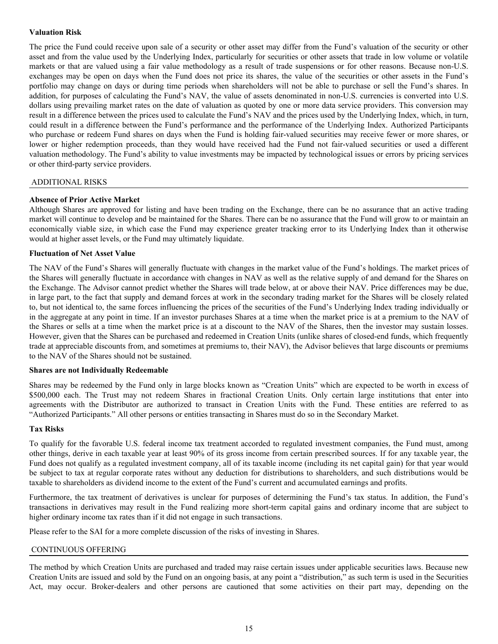# <span id="page-17-0"></span>**Valuation Risk**

The price the Fund could receive upon sale of a security or other asset may differ from the Fund's valuation of the security or other asset and from the value used by the Underlying Index, particularly for securities or other assets that trade in low volume or volatile markets or that are valued using a fair value methodology as a result of trade suspensions or for other reasons. Because non-U.S. exchanges may be open on days when the Fund does not price its shares, the value of the securities or other assets in the Fund's portfolio may change on days or during time periods when shareholders will not be able to purchase or sell the Fund's shares. In addition, for purposes of calculating the Fund's NAV, the value of assets denominated in non-U.S. currencies is converted into U.S. dollars using prevailing market rates on the date of valuation as quoted by one or more data service providers. This conversion may result in a difference between the prices used to calculate the Fund's NAV and the prices used by the Underlying Index, which, in turn, could result in a difference between the Fund's performance and the performance of the Underlying Index. Authorized Participants who purchase or redeem Fund shares on days when the Fund is holding fair-valued securities may receive fewer or more shares, or lower or higher redemption proceeds, than they would have received had the Fund not fair-valued securities or used a different valuation methodology. The Fund's ability to value investments may be impacted by technological issues or errors by pricing services or other third-party service providers.

#### ADDITIONAL RISKS

#### **Absence of Prior Active Market**

Although Shares are approved for listing and have been trading on the Exchange, there can be no assurance that an active trading market will continue to develop and be maintained for the Shares. There can be no assurance that the Fund will grow to or maintain an economically viable size, in which case the Fund may experience greater tracking error to its Underlying Index than it otherwise would at higher asset levels, or the Fund may ultimately liquidate.

#### **Fluctuation of Net Asset Value**

The NAV of the Fund's Shares will generally fluctuate with changes in the market value of the Fund's holdings. The market prices of the Shares will generally fluctuate in accordance with changes in NAV as well as the relative supply of and demand for the Shares on the Exchange. The Advisor cannot predict whether the Shares will trade below, at or above their NAV. Price differences may be due, in large part, to the fact that supply and demand forces at work in the secondary trading market for the Shares will be closely related to, but not identical to, the same forces influencing the prices of the securities of the Fund's Underlying Index trading individually or in the aggregate at any point in time. If an investor purchases Shares at a time when the market price is at a premium to the NAV of the Shares or sells at a time when the market price is at a discount to the NAV of the Shares, then the investor may sustain losses. However, given that the Shares can be purchased and redeemed in Creation Units (unlike shares of closed-end funds, which frequently trade at appreciable discounts from, and sometimes at premiums to, their NAV), the Advisor believes that large discounts or premiums to the NAV of the Shares should not be sustained.

#### **Shares are not Individually Redeemable**

Shares may be redeemed by the Fund only in large blocks known as "Creation Units" which are expected to be worth in excess of \$500,000 each. The Trust may not redeem Shares in fractional Creation Units. Only certain large institutions that enter into agreements with the Distributor are authorized to transact in Creation Units with the Fund. These entities are referred to as "Authorized Participants." All other persons or entities transacting in Shares must do so in the Secondary Market.

#### **Tax Risks**

To qualify for the favorable U.S. federal income tax treatment accorded to regulated investment companies, the Fund must, among other things, derive in each taxable year at least 90% of its gross income from certain prescribed sources. If for any taxable year, the Fund does not qualify as a regulated investment company, all of its taxable income (including its net capital gain) for that year would be subject to tax at regular corporate rates without any deduction for distributions to shareholders, and such distributions would be taxable to shareholders as dividend income to the extent of the Fund's current and accumulated earnings and profits.

Furthermore, the tax treatment of derivatives is unclear for purposes of determining the Fund's tax status. In addition, the Fund's transactions in derivatives may result in the Fund realizing more short-term capital gains and ordinary income that are subject to higher ordinary income tax rates than if it did not engage in such transactions.

Please refer to the SAI for a more complete discussion of the risks of investing in Shares.

#### CONTINUOUS OFFERING

The method by which Creation Units are purchased and traded may raise certain issues under applicable securities laws. Because new Creation Units are issued and sold by the Fund on an ongoing basis, at any point a "distribution," as such term is used in the Securities Act, may occur. Broker-dealers and other persons are cautioned that some activities on their part may, depending on the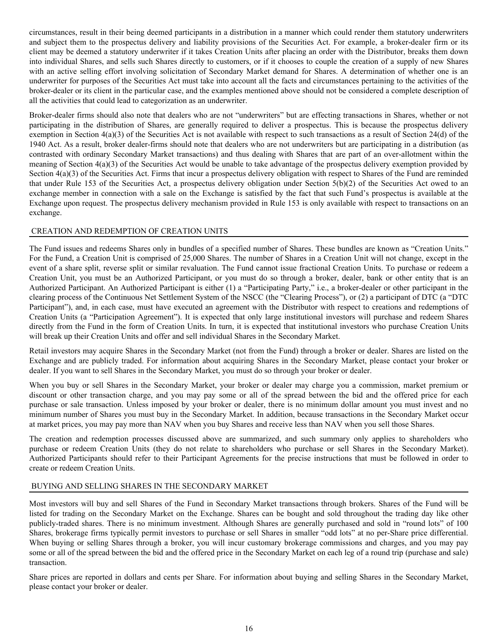<span id="page-18-0"></span>circumstances, result in their being deemed participants in a distribution in a manner which could render them statutory underwriters and subject them to the prospectus delivery and liability provisions of the Securities Act. For example, a broker-dealer firm or its client may be deemed a statutory underwriter if it takes Creation Units after placing an order with the Distributor, breaks them down into individual Shares, and sells such Shares directly to customers, or if it chooses to couple the creation of a supply of new Shares with an active selling effort involving solicitation of Secondary Market demand for Shares. A determination of whether one is an underwriter for purposes of the Securities Act must take into account all the facts and circumstances pertaining to the activities of the broker-dealer or its client in the particular case, and the examples mentioned above should not be considered a complete description of all the activities that could lead to categorization as an underwriter.

Broker-dealer firms should also note that dealers who are not "underwriters" but are effecting transactions in Shares, whether or not participating in the distribution of Shares, are generally required to deliver a prospectus. This is because the prospectus delivery exemption in Section 4(a)(3) of the Securities Act is not available with respect to such transactions as a result of Section 24(d) of the 1940 Act. As a result, broker dealer-firms should note that dealers who are not underwriters but are participating in a distribution (as contrasted with ordinary Secondary Market transactions) and thus dealing with Shares that are part of an over-allotment within the meaning of Section 4(a)(3) of the Securities Act would be unable to take advantage of the prospectus delivery exemption provided by Section  $4(a)(3)$  of the Securities Act. Firms that incur a prospectus delivery obligation with respect to Shares of the Fund are reminded that under Rule 153 of the Securities Act, a prospectus delivery obligation under Section 5(b)(2) of the Securities Act owed to an exchange member in connection with a sale on the Exchange is satisfied by the fact that such Fund's prospectus is available at the Exchange upon request. The prospectus delivery mechanism provided in Rule 153 is only available with respect to transactions on an exchange.

# CREATION AND REDEMPTION OF CREATION UNITS

The Fund issues and redeems Shares only in bundles of a specified number of Shares. These bundles are known as "Creation Units." For the Fund, a Creation Unit is comprised of 25,000 Shares. The number of Shares in a Creation Unit will not change, except in the event of a share split, reverse split or similar revaluation. The Fund cannot issue fractional Creation Units. To purchase or redeem a Creation Unit, you must be an Authorized Participant, or you must do so through a broker, dealer, bank or other entity that is an Authorized Participant. An Authorized Participant is either (1) a "Participating Party," i.e., a broker-dealer or other participant in the clearing process of the Continuous Net Settlement System of the NSCC (the "Clearing Process"), or (2) a participant of DTC (a "DTC Participant"), and, in each case, must have executed an agreement with the Distributor with respect to creations and redemptions of Creation Units (a "Participation Agreement"). It is expected that only large institutional investors will purchase and redeem Shares directly from the Fund in the form of Creation Units. In turn, it is expected that institutional investors who purchase Creation Units will break up their Creation Units and offer and sell individual Shares in the Secondary Market.

Retail investors may acquire Shares in the Secondary Market (not from the Fund) through a broker or dealer. Shares are listed on the Exchange and are publicly traded. For information about acquiring Shares in the Secondary Market, please contact your broker or dealer. If you want to sell Shares in the Secondary Market, you must do so through your broker or dealer.

When you buy or sell Shares in the Secondary Market, your broker or dealer may charge you a commission, market premium or discount or other transaction charge, and you may pay some or all of the spread between the bid and the offered price for each purchase or sale transaction. Unless imposed by your broker or dealer, there is no minimum dollar amount you must invest and no minimum number of Shares you must buy in the Secondary Market. In addition, because transactions in the Secondary Market occur at market prices, you may pay more than NAV when you buy Shares and receive less than NAV when you sell those Shares.

The creation and redemption processes discussed above are summarized, and such summary only applies to shareholders who purchase or redeem Creation Units (they do not relate to shareholders who purchase or sell Shares in the Secondary Market). Authorized Participants should refer to their Participant Agreements for the precise instructions that must be followed in order to create or redeem Creation Units.

# BUYING AND SELLING SHARES IN THE SECONDARY MARKET

Most investors will buy and sell Shares of the Fund in Secondary Market transactions through brokers. Shares of the Fund will be listed for trading on the Secondary Market on the Exchange. Shares can be bought and sold throughout the trading day like other publicly-traded shares. There is no minimum investment. Although Shares are generally purchased and sold in "round lots" of 100 Shares, brokerage firms typically permit investors to purchase or sell Shares in smaller "odd lots" at no per-Share price differential. When buying or selling Shares through a broker, you will incur customary brokerage commissions and charges, and you may pay some or all of the spread between the bid and the offered price in the Secondary Market on each leg of a round trip (purchase and sale) transaction.

Share prices are reported in dollars and cents per Share. For information about buying and selling Shares in the Secondary Market, please contact your broker or dealer.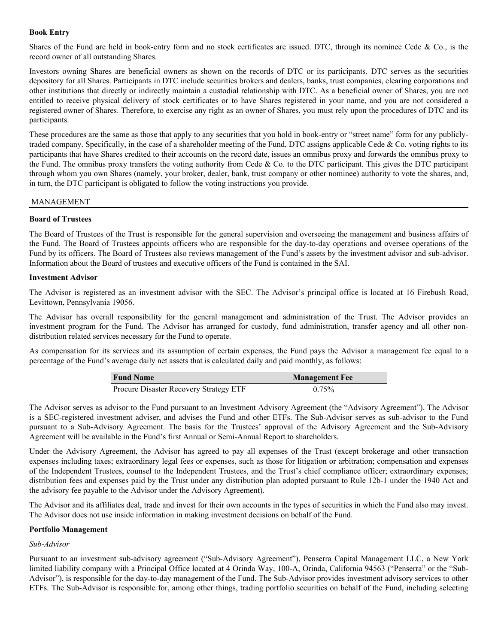# <span id="page-19-0"></span>**Book Entry**

Shares of the Fund are held in book-entry form and no stock certificates are issued. DTC, through its nominee Cede  $\&$  Co., is the record owner of all outstanding Shares.

Investors owning Shares are beneficial owners as shown on the records of DTC or its participants. DTC serves as the securities depository for all Shares. Participants in DTC include securities brokers and dealers, banks, trust companies, clearing corporations and other institutions that directly or indirectly maintain a custodial relationship with DTC. As a beneficial owner of Shares, you are not entitled to receive physical delivery of stock certificates or to have Shares registered in your name, and you are not considered a registered owner of Shares. Therefore, to exercise any right as an owner of Shares, you must rely upon the procedures of DTC and its participants.

These procedures are the same as those that apply to any securities that you hold in book-entry or "street name" form for any publiclytraded company. Specifically, in the case of a shareholder meeting of the Fund, DTC assigns applicable Cede  $\&$  Co. voting rights to its participants that have Shares credited to their accounts on the record date, issues an omnibus proxy and forwards the omnibus proxy to the Fund. The omnibus proxy transfers the voting authority from Cede & Co. to the DTC participant. This gives the DTC participant through whom you own Shares (namely, your broker, dealer, bank, trust company or other nominee) authority to vote the shares, and, in turn, the DTC participant is obligated to follow the voting instructions you provide.

# MANAGEMENT

# **Board of Trustees**

The Board of Trustees of the Trust is responsible for the general supervision and overseeing the management and business affairs of the Fund. The Board of Trustees appoints officers who are responsible for the day-to-day operations and oversee operations of the Fund by its officers. The Board of Trustees also reviews management of the Fund's assets by the investment advisor and sub-advisor. Information about the Board of trustees and executive officers of the Fund is contained in the SAI.

# **Investment Advisor**

The Advisor is registered as an investment advisor with the SEC. The Advisor's principal office is located at 16 Firebush Road, Levittown, Pennsylvania 19056.

The Advisor has overall responsibility for the general management and administration of the Trust. The Advisor provides an investment program for the Fund. The Advisor has arranged for custody, fund administration, transfer agency and all other nondistribution related services necessary for the Fund to operate.

As compensation for its services and its assumption of certain expenses, the Fund pays the Advisor a management fee equal to a percentage of the Fund's average daily net assets that is calculated daily and paid monthly, as follows:

| <b>Fund Name</b>                       | <b>Management Fee</b> |
|----------------------------------------|-----------------------|
| Procure Disaster Recovery Strategy ETF | $0.75\%$              |

The Advisor serves as advisor to the Fund pursuant to an Investment Advisory Agreement (the "Advisory Agreement"). The Advisor is a SEC-registered investment adviser, and advises the Fund and other ETFs. The Sub-Advisor serves as sub-advisor to the Fund pursuant to a Sub-Advisory Agreement. The basis for the Trustees' approval of the Advisory Agreement and the Sub-Advisory Agreement will be available in the Fund's first Annual or Semi-Annual Report to shareholders.

Under the Advisory Agreement, the Advisor has agreed to pay all expenses of the Trust (except brokerage and other transaction expenses including taxes; extraordinary legal fees or expenses, such as those for litigation or arbitration; compensation and expenses of the Independent Trustees, counsel to the Independent Trustees, and the Trust's chief compliance officer; extraordinary expenses; distribution fees and expenses paid by the Trust under any distribution plan adopted pursuant to Rule 12b-1 under the 1940 Act and the advisory fee payable to the Advisor under the Advisory Agreement).

The Advisor and its affiliates deal, trade and invest for their own accounts in the types of securities in which the Fund also may invest. The Advisor does not use inside information in making investment decisions on behalf of the Fund.

# **Portfolio Management**

# *Sub-Advisor*

Pursuant to an investment sub-advisory agreement ("Sub-Advisory Agreement"), Penserra Capital Management LLC, a New York limited liability company with a Principal Office located at 4 Orinda Way, 100-A, Orinda, California 94563 ("Penserra" or the "Sub-Advisor"), is responsible for the day-to-day management of the Fund. The Sub-Advisor provides investment advisory services to other ETFs. The Sub-Advisor is responsible for, among other things, trading portfolio securities on behalf of the Fund, including selecting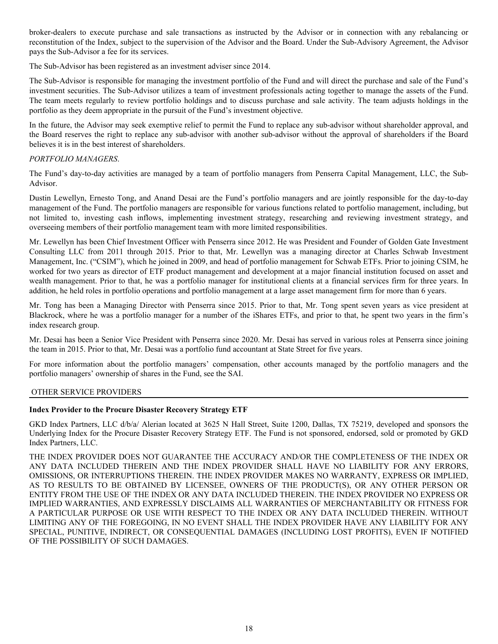<span id="page-20-0"></span>broker-dealers to execute purchase and sale transactions as instructed by the Advisor or in connection with any rebalancing or reconstitution of the Index, subject to the supervision of the Advisor and the Board. Under the Sub-Advisory Agreement, the Advisor pays the Sub-Advisor a fee for its services.

The Sub-Advisor has been registered as an investment adviser since 2014.

The Sub-Advisor is responsible for managing the investment portfolio of the Fund and will direct the purchase and sale of the Fund's investment securities. The Sub-Advisor utilizes a team of investment professionals acting together to manage the assets of the Fund. The team meets regularly to review portfolio holdings and to discuss purchase and sale activity. The team adjusts holdings in the portfolio as they deem appropriate in the pursuit of the Fund's investment objective.

In the future, the Advisor may seek exemptive relief to permit the Fund to replace any sub-advisor without shareholder approval, and the Board reserves the right to replace any sub-advisor with another sub-advisor without the approval of shareholders if the Board believes it is in the best interest of shareholders.

# *PORTFOLIO MANAGERS*.

The Fund's day-to-day activities are managed by a team of portfolio managers from Penserra Capital Management, LLC, the Sub-Advisor.

Dustin Lewellyn, Ernesto Tong, and Anand Desai are the Fund's portfolio managers and are jointly responsible for the day-to-day management of the Fund. The portfolio managers are responsible for various functions related to portfolio management, including, but not limited to, investing cash inflows, implementing investment strategy, researching and reviewing investment strategy, and overseeing members of their portfolio management team with more limited responsibilities.

Mr. Lewellyn has been Chief Investment Officer with Penserra since 2012. He was President and Founder of Golden Gate Investment Consulting LLC from 2011 through 2015. Prior to that, Mr. Lewellyn was a managing director at Charles Schwab Investment Management, Inc. ("CSIM"), which he joined in 2009, and head of portfolio management for Schwab ETFs. Prior to joining CSIM, he worked for two years as director of ETF product management and development at a major financial institution focused on asset and wealth management. Prior to that, he was a portfolio manager for institutional clients at a financial services firm for three years. In addition, he held roles in portfolio operations and portfolio management at a large asset management firm for more than 6 years.

Mr. Tong has been a Managing Director with Penserra since 2015. Prior to that, Mr. Tong spent seven years as vice president at Blackrock, where he was a portfolio manager for a number of the iShares ETFs, and prior to that, he spent two years in the firm's index research group.

Mr. Desai has been a Senior Vice President with Penserra since 2020. Mr. Desai has served in various roles at Penserra since joining the team in 2015. Prior to that, Mr. Desai was a portfolio fund accountant at State Street for five years.

For more information about the portfolio managers' compensation, other accounts managed by the portfolio managers and the portfolio managers' ownership of shares in the Fund, see the SAI.

# OTHER SERVICE PROVIDERS

# **Index Provider to the Procure Disaster Recovery Strategy ETF**

GKD Index Partners, LLC d/b/a/ Alerian located at 3625 N Hall Street, Suite 1200, Dallas, TX 75219, developed and sponsors the Underlying Index for the Procure Disaster Recovery Strategy ETF. The Fund is not sponsored, endorsed, sold or promoted by GKD Index Partners, LLC.

THE INDEX PROVIDER DOES NOT GUARANTEE THE ACCURACY AND/OR THE COMPLETENESS OF THE INDEX OR ANY DATA INCLUDED THEREIN AND THE INDEX PROVIDER SHALL HAVE NO LIABILITY FOR ANY ERRORS, OMISSIONS, OR INTERRUPTIONS THEREIN. THE INDEX PROVIDER MAKES NO WARRANTY, EXPRESS OR IMPLIED, AS TO RESULTS TO BE OBTAINED BY LICENSEE, OWNERS OF THE PRODUCT(S), OR ANY OTHER PERSON OR ENTITY FROM THE USE OF THE INDEX OR ANY DATA INCLUDED THEREIN. THE INDEX PROVIDER NO EXPRESS OR IMPLIED WARRANTIES, AND EXPRESSLY DISCLAIMS ALL WARRANTIES OF MERCHANTABILITY OR FITNESS FOR A PARTICULAR PURPOSE OR USE WITH RESPECT TO THE INDEX OR ANY DATA INCLUDED THEREIN. WITHOUT LIMITING ANY OF THE FOREGOING, IN NO EVENT SHALL THE INDEX PROVIDER HAVE ANY LIABILITY FOR ANY SPECIAL, PUNITIVE, INDIRECT, OR CONSEQUENTIAL DAMAGES (INCLUDING LOST PROFITS), EVEN IF NOTIFIED OF THE POSSIBILITY OF SUCH DAMAGES.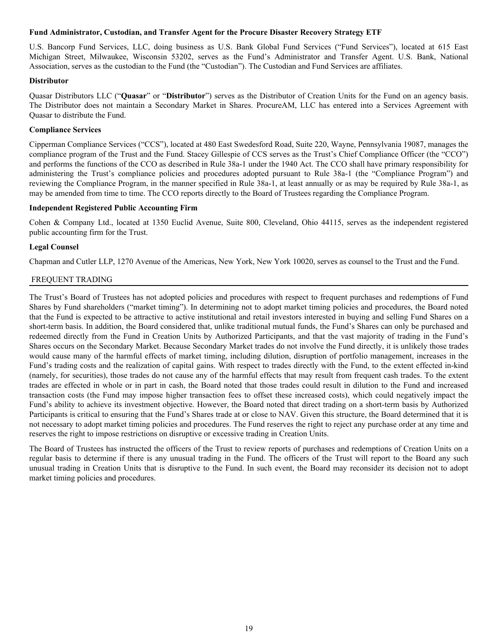#### <span id="page-21-0"></span>**Fund Administrator, Custodian, and Transfer Agent for the Procure Disaster Recovery Strategy ETF**

U.S. Bancorp Fund Services, LLC, doing business as U.S. Bank Global Fund Services ("Fund Services"), located at 615 East Michigan Street, Milwaukee, Wisconsin 53202, serves as the Fund's Administrator and Transfer Agent. U.S. Bank, National Association, serves as the custodian to the Fund (the "Custodian"). The Custodian and Fund Services are affiliates.

#### **Distributor**

Quasar Distributors LLC ("**Quasar**" or "**Distributor**") serves as the Distributor of Creation Units for the Fund on an agency basis. The Distributor does not maintain a Secondary Market in Shares. ProcureAM, LLC has entered into a Services Agreement with Quasar to distribute the Fund.

# **Compliance Services**

Cipperman Compliance Services ("CCS"), located at 480 East Swedesford Road, Suite 220, Wayne, Pennsylvania 19087, manages the compliance program of the Trust and the Fund. Stacey Gillespie of CCS serves as the Trust's Chief Compliance Officer (the "CCO") and performs the functions of the CCO as described in Rule 38a-1 under the 1940 Act. The CCO shall have primary responsibility for administering the Trust's compliance policies and procedures adopted pursuant to Rule 38a-1 (the "Compliance Program") and reviewing the Compliance Program, in the manner specified in Rule 38a-1, at least annually or as may be required by Rule 38a-1, as may be amended from time to time. The CCO reports directly to the Board of Trustees regarding the Compliance Program.

#### **Independent Registered Public Accounting Firm**

Cohen & Company Ltd., located at 1350 Euclid Avenue, Suite 800, Cleveland, Ohio 44115, serves as the independent registered public accounting firm for the Trust.

#### **Legal Counsel**

Chapman and Cutler LLP, 1270 Avenue of the Americas, New York, New York 10020, serves as counsel to the Trust and the Fund.

#### FREQUENT TRADING

The Trust's Board of Trustees has not adopted policies and procedures with respect to frequent purchases and redemptions of Fund Shares by Fund shareholders ("market timing"). In determining not to adopt market timing policies and procedures, the Board noted that the Fund is expected to be attractive to active institutional and retail investors interested in buying and selling Fund Shares on a short-term basis. In addition, the Board considered that, unlike traditional mutual funds, the Fund's Shares can only be purchased and redeemed directly from the Fund in Creation Units by Authorized Participants, and that the vast majority of trading in the Fund's Shares occurs on the Secondary Market. Because Secondary Market trades do not involve the Fund directly, it is unlikely those trades would cause many of the harmful effects of market timing, including dilution, disruption of portfolio management, increases in the Fund's trading costs and the realization of capital gains. With respect to trades directly with the Fund, to the extent effected in-kind (namely, for securities), those trades do not cause any of the harmful effects that may result from frequent cash trades. To the extent trades are effected in whole or in part in cash, the Board noted that those trades could result in dilution to the Fund and increased transaction costs (the Fund may impose higher transaction fees to offset these increased costs), which could negatively impact the Fund's ability to achieve its investment objective. However, the Board noted that direct trading on a short-term basis by Authorized Participants is critical to ensuring that the Fund's Shares trade at or close to NAV. Given this structure, the Board determined that it is not necessary to adopt market timing policies and procedures. The Fund reserves the right to reject any purchase order at any time and reserves the right to impose restrictions on disruptive or excessive trading in Creation Units.

The Board of Trustees has instructed the officers of the Trust to review reports of purchases and redemptions of Creation Units on a regular basis to determine if there is any unusual trading in the Fund. The officers of the Trust will report to the Board any such unusual trading in Creation Units that is disruptive to the Fund. In such event, the Board may reconsider its decision not to adopt market timing policies and procedures.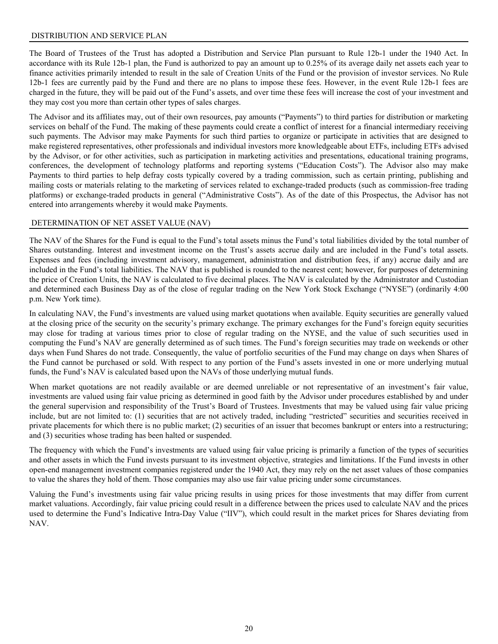# <span id="page-22-0"></span>DISTRIBUTION AND SERVICE PLAN

The Board of Trustees of the Trust has adopted a Distribution and Service Plan pursuant to Rule 12b-1 under the 1940 Act. In accordance with its Rule 12b-1 plan, the Fund is authorized to pay an amount up to 0.25% of its average daily net assets each year to finance activities primarily intended to result in the sale of Creation Units of the Fund or the provision of investor services. No Rule 12b-1 fees are currently paid by the Fund and there are no plans to impose these fees. However, in the event Rule 12b-1 fees are charged in the future, they will be paid out of the Fund's assets, and over time these fees will increase the cost of your investment and they may cost you more than certain other types of sales charges.

The Advisor and its affiliates may, out of their own resources, pay amounts ("Payments") to third parties for distribution or marketing services on behalf of the Fund. The making of these payments could create a conflict of interest for a financial intermediary receiving such payments. The Advisor may make Payments for such third parties to organize or participate in activities that are designed to make registered representatives, other professionals and individual investors more knowledgeable about ETFs, including ETFs advised by the Advisor, or for other activities, such as participation in marketing activities and presentations, educational training programs, conferences, the development of technology platforms and reporting systems ("Education Costs"). The Advisor also may make Payments to third parties to help defray costs typically covered by a trading commission, such as certain printing, publishing and mailing costs or materials relating to the marketing of services related to exchange-traded products (such as commission-free trading platforms) or exchange-traded products in general ("Administrative Costs"). As of the date of this Prospectus, the Advisor has not entered into arrangements whereby it would make Payments.

#### DETERMINATION OF NET ASSET VALUE (NAV)

The NAV of the Shares for the Fund is equal to the Fund's total assets minus the Fund's total liabilities divided by the total number of Shares outstanding. Interest and investment income on the Trust's assets accrue daily and are included in the Fund's total assets. Expenses and fees (including investment advisory, management, administration and distribution fees, if any) accrue daily and are included in the Fund's total liabilities. The NAV that is published is rounded to the nearest cent; however, for purposes of determining the price of Creation Units, the NAV is calculated to five decimal places. The NAV is calculated by the Administrator and Custodian and determined each Business Day as of the close of regular trading on the New York Stock Exchange ("NYSE") (ordinarily 4:00 p.m. New York time).

In calculating NAV, the Fund's investments are valued using market quotations when available. Equity securities are generally valued at the closing price of the security on the security's primary exchange. The primary exchanges for the Fund's foreign equity securities may close for trading at various times prior to close of regular trading on the NYSE, and the value of such securities used in computing the Fund's NAV are generally determined as of such times. The Fund's foreign securities may trade on weekends or other days when Fund Shares do not trade. Consequently, the value of portfolio securities of the Fund may change on days when Shares of the Fund cannot be purchased or sold. With respect to any portion of the Fund's assets invested in one or more underlying mutual funds, the Fund's NAV is calculated based upon the NAVs of those underlying mutual funds.

When market quotations are not readily available or are deemed unreliable or not representative of an investment's fair value, investments are valued using fair value pricing as determined in good faith by the Advisor under procedures established by and under the general supervision and responsibility of the Trust's Board of Trustees. Investments that may be valued using fair value pricing include, but are not limited to: (1) securities that are not actively traded, including "restricted" securities and securities received in private placements for which there is no public market; (2) securities of an issuer that becomes bankrupt or enters into a restructuring; and (3) securities whose trading has been halted or suspended.

The frequency with which the Fund's investments are valued using fair value pricing is primarily a function of the types of securities and other assets in which the Fund invests pursuant to its investment objective, strategies and limitations. If the Fund invests in other open-end management investment companies registered under the 1940 Act, they may rely on the net asset values of those companies to value the shares they hold of them. Those companies may also use fair value pricing under some circumstances.

Valuing the Fund's investments using fair value pricing results in using prices for those investments that may differ from current market valuations. Accordingly, fair value pricing could result in a difference between the prices used to calculate NAV and the prices used to determine the Fund's Indicative Intra-Day Value ("IIV"), which could result in the market prices for Shares deviating from NAV.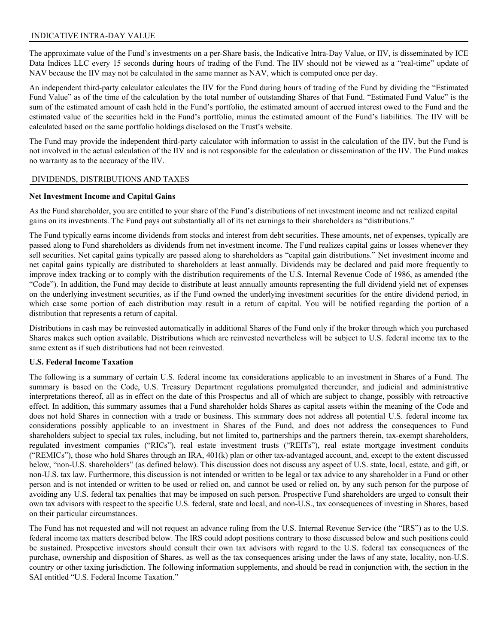# <span id="page-23-0"></span>INDICATIVE INTRA-DAY VALUE

The approximate value of the Fund's investments on a per-Share basis, the Indicative Intra-Day Value, or IIV, is disseminated by ICE Data Indices LLC every 15 seconds during hours of trading of the Fund. The IIV should not be viewed as a "real-time" update of NAV because the IIV may not be calculated in the same manner as NAV, which is computed once per day.

An independent third-party calculator calculates the IIV for the Fund during hours of trading of the Fund by dividing the "Estimated Fund Value" as of the time of the calculation by the total number of outstanding Shares of that Fund. "Estimated Fund Value" is the sum of the estimated amount of cash held in the Fund's portfolio, the estimated amount of accrued interest owed to the Fund and the estimated value of the securities held in the Fund's portfolio, minus the estimated amount of the Fund's liabilities. The IIV will be calculated based on the same portfolio holdings disclosed on the Trust's website.

The Fund may provide the independent third-party calculator with information to assist in the calculation of the IIV, but the Fund is not involved in the actual calculation of the IIV and is not responsible for the calculation or dissemination of the IIV. The Fund makes no warranty as to the accuracy of the IIV.

# DIVIDENDS, DISTRIBUTIONS AND TAXES

#### **Net Investment Income and Capital Gains**

As the Fund shareholder, you are entitled to your share of the Fund's distributions of net investment income and net realized capital gains on its investments. The Fund pays out substantially all of its net earnings to their shareholders as "distributions."

The Fund typically earns income dividends from stocks and interest from debt securities. These amounts, net of expenses, typically are passed along to Fund shareholders as dividends from net investment income. The Fund realizes capital gains or losses whenever they sell securities. Net capital gains typically are passed along to shareholders as "capital gain distributions." Net investment income and net capital gains typically are distributed to shareholders at least annually. Dividends may be declared and paid more frequently to improve index tracking or to comply with the distribution requirements of the U.S. Internal Revenue Code of 1986, as amended (the "Code"). In addition, the Fund may decide to distribute at least annually amounts representing the full dividend yield net of expenses on the underlying investment securities, as if the Fund owned the underlying investment securities for the entire dividend period, in which case some portion of each distribution may result in a return of capital. You will be notified regarding the portion of a distribution that represents a return of capital.

Distributions in cash may be reinvested automatically in additional Shares of the Fund only if the broker through which you purchased Shares makes such option available. Distributions which are reinvested nevertheless will be subject to U.S. federal income tax to the same extent as if such distributions had not been reinvested.

# **U.S. Federal Income Taxation**

The following is a summary of certain U.S. federal income tax considerations applicable to an investment in Shares of a Fund. The summary is based on the Code, U.S. Treasury Department regulations promulgated thereunder, and judicial and administrative interpretations thereof, all as in effect on the date of this Prospectus and all of which are subject to change, possibly with retroactive effect. In addition, this summary assumes that a Fund shareholder holds Shares as capital assets within the meaning of the Code and does not hold Shares in connection with a trade or business. This summary does not address all potential U.S. federal income tax considerations possibly applicable to an investment in Shares of the Fund, and does not address the consequences to Fund shareholders subject to special tax rules, including, but not limited to, partnerships and the partners therein, tax-exempt shareholders, regulated investment companies ("RICs"), real estate investment trusts ("REITs"), real estate mortgage investment conduits ("REMICs"), those who hold Shares through an IRA, 401(k) plan or other tax-advantaged account, and, except to the extent discussed below, "non-U.S. shareholders" (as defined below). This discussion does not discuss any aspect of U.S. state, local, estate, and gift, or non-U.S. tax law. Furthermore, this discussion is not intended or written to be legal or tax advice to any shareholder in a Fund or other person and is not intended or written to be used or relied on, and cannot be used or relied on, by any such person for the purpose of avoiding any U.S. federal tax penalties that may be imposed on such person. Prospective Fund shareholders are urged to consult their own tax advisors with respect to the specific U.S. federal, state and local, and non-U.S., tax consequences of investing in Shares, based on their particular circumstances.

The Fund has not requested and will not request an advance ruling from the U.S. Internal Revenue Service (the "IRS") as to the U.S. federal income tax matters described below. The IRS could adopt positions contrary to those discussed below and such positions could be sustained. Prospective investors should consult their own tax advisors with regard to the U.S. federal tax consequences of the purchase, ownership and disposition of Shares, as well as the tax consequences arising under the laws of any state, locality, non-U.S. country or other taxing jurisdiction. The following information supplements, and should be read in conjunction with, the section in the SAI entitled "U.S. Federal Income Taxation."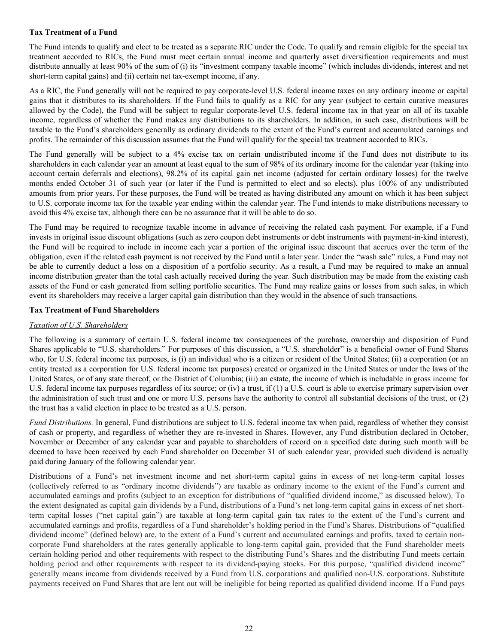# **Tax Treatment of a Fund**

The Fund intends to qualify and elect to be treated as a separate RIC under the Code. To qualify and remain eligible for the special tax treatment accorded to RICs, the Fund must meet certain annual income and quarterly asset diversification requirements and must distribute annually at least 90% of the sum of (i) its "investment company taxable income" (which includes dividends, interest and net short-term capital gains) and (ii) certain net tax-exempt income, if any.

As a RIC, the Fund generally will not be required to pay corporate-level U.S. federal income taxes on any ordinary income or capital gains that it distributes to its shareholders. If the Fund fails to qualify as a RIC for any year (subject to certain curative measures allowed by the Code), the Fund will be subject to regular corporate-level U.S. federal income tax in that year on all of its taxable income, regardless of whether the Fund makes any distributions to its shareholders. In addition, in such case, distributions will be taxable to the Fund's shareholders generally as ordinary dividends to the extent of the Fund's current and accumulated earnings and profits. The remainder of this discussion assumes that the Fund will qualify for the special tax treatment accorded to RICs.

The Fund generally will be subject to a 4% excise tax on certain undistributed income if the Fund does not distribute to its shareholders in each calendar year an amount at least equal to the sum of 98% of its ordinary income for the calendar year (taking into account certain deferrals and elections), 98.2% of its capital gain net income (adjusted for certain ordinary losses) for the twelve months ended October 31 of such year (or later if the Fund is permitted to elect and so elects), plus 100% of any undistributed amounts from prior years. For these purposes, the Fund will be treated as having distributed any amount on which it has been subject to U.S. corporate income tax for the taxable year ending within the calendar year. The Fund intends to make distributions necessary to avoid this 4% excise tax, although there can be no assurance that it will be able to do so.

The Fund may be required to recognize taxable income in advance of receiving the related cash payment. For example, if a Fund invests in original issue discount obligations (such as zero coupon debt instruments or debt instruments with payment-in-kind interest), the Fund will be required to include in income each year a portion of the original issue discount that accrues over the term of the obligation, even if the related cash payment is not received by the Fund until a later year. Under the "wash sale" rules, a Fund may not be able to currently deduct a loss on a disposition of a portfolio security. As a result, a Fund may be required to make an annual income distribution greater than the total cash actually received during the year. Such distribution may be made from the existing cash assets of the Fund or cash generated from selling portfolio securities. The Fund may realize gains or losses from such sales, in which event its shareholders may receive a larger capital gain distribution than they would in the absence of such transactions.

#### **Tax Treatment of Fund Shareholders**

# *Taxation of U.S. Shareholders*

The following is a summary of certain U.S. federal income tax consequences of the purchase, ownership and disposition of Fund Shares applicable to "U.S. shareholders." For purposes of this discussion, a "U.S. shareholder" is a beneficial owner of Fund Shares who, for U.S. federal income tax purposes, is (i) an individual who is a citizen or resident of the United States; (ii) a corporation (or an entity treated as a corporation for U.S. federal income tax purposes) created or organized in the United States or under the laws of the United States, or of any state thereof, or the District of Columbia; (iii) an estate, the income of which is includable in gross income for U.S. federal income tax purposes regardless of its source; or (iv) a trust, if (1) a U.S. court is able to exercise primary supervision over the administration of such trust and one or more U.S. persons have the authority to control all substantial decisions of the trust, or (2) the trust has a valid election in place to be treated as a U.S. person.

*Fund Distributions.* In general, Fund distributions are subject to U.S. federal income tax when paid, regardless of whether they consist of cash or property, and regardless of whether they are re-invested in Shares. However, any Fund distribution declared in October, November or December of any calendar year and payable to shareholders of record on a specified date during such month will be deemed to have been received by each Fund shareholder on December 31 of such calendar year, provided such dividend is actually paid during January of the following calendar year.

Distributions of a Fund's net investment income and net short-term capital gains in excess of net long-term capital losses (collectively referred to as "ordinary income dividends") are taxable as ordinary income to the extent of the Fund's current and accumulated earnings and profits (subject to an exception for distributions of "qualified dividend income," as discussed below). To the extent designated as capital gain dividends by a Fund, distributions of a Fund's net long-term capital gains in excess of net shortterm capital losses ("net capital gain") are taxable at long-term capital gain tax rates to the extent of the Fund's current and accumulated earnings and profits, regardless of a Fund shareholder's holding period in the Fund's Shares. Distributions of "qualified dividend income" (defined below) are, to the extent of a Fund's current and accumulated earnings and profits, taxed to certain noncorporate Fund shareholders at the rates generally applicable to long-term capital gain, provided that the Fund shareholder meets certain holding period and other requirements with respect to the distributing Fund's Shares and the distributing Fund meets certain holding period and other requirements with respect to its dividend-paying stocks. For this purpose, "qualified dividend income" generally means income from dividends received by a Fund from U.S. corporations and qualified non-U.S. corporations. Substitute payments received on Fund Shares that are lent out will be ineligible for being reported as qualified dividend income. If a Fund pays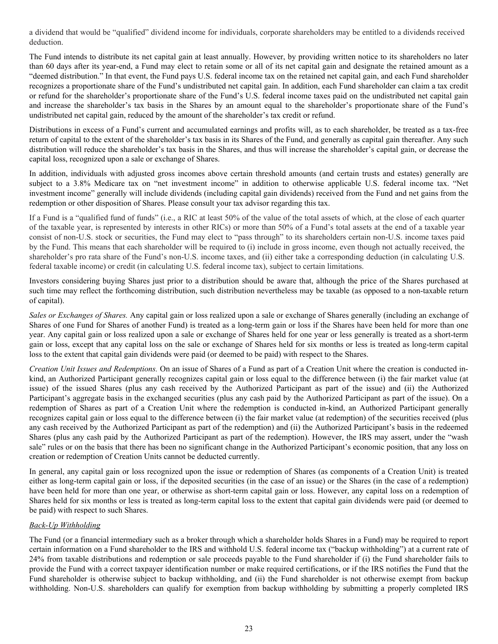a dividend that would be "qualified" dividend income for individuals, corporate shareholders may be entitled to a dividends received deduction.

The Fund intends to distribute its net capital gain at least annually. However, by providing written notice to its shareholders no later than 60 days after its year-end, a Fund may elect to retain some or all of its net capital gain and designate the retained amount as a "deemed distribution." In that event, the Fund pays U.S. federal income tax on the retained net capital gain, and each Fund shareholder recognizes a proportionate share of the Fund's undistributed net capital gain. In addition, each Fund shareholder can claim a tax credit or refund for the shareholder's proportionate share of the Fund's U.S. federal income taxes paid on the undistributed net capital gain and increase the shareholder's tax basis in the Shares by an amount equal to the shareholder's proportionate share of the Fund's undistributed net capital gain, reduced by the amount of the shareholder's tax credit or refund.

Distributions in excess of a Fund's current and accumulated earnings and profits will, as to each shareholder, be treated as a tax-free return of capital to the extent of the shareholder's tax basis in its Shares of the Fund, and generally as capital gain thereafter. Any such distribution will reduce the shareholder's tax basis in the Shares, and thus will increase the shareholder's capital gain, or decrease the capital loss, recognized upon a sale or exchange of Shares.

In addition, individuals with adjusted gross incomes above certain threshold amounts (and certain trusts and estates) generally are subject to a 3.8% Medicare tax on "net investment income" in addition to otherwise applicable U.S. federal income tax. "Net investment income" generally will include dividends (including capital gain dividends) received from the Fund and net gains from the redemption or other disposition of Shares. Please consult your tax advisor regarding this tax.

If a Fund is a "qualified fund of funds" (i.e., a RIC at least 50% of the value of the total assets of which, at the close of each quarter of the taxable year, is represented by interests in other RICs) or more than 50% of a Fund's total assets at the end of a taxable year consist of non-U.S. stock or securities, the Fund may elect to "pass through" to its shareholders certain non-U.S. income taxes paid by the Fund. This means that each shareholder will be required to (i) include in gross income, even though not actually received, the shareholder's pro rata share of the Fund's non-U.S. income taxes, and (ii) either take a corresponding deduction (in calculating U.S. federal taxable income) or credit (in calculating U.S. federal income tax), subject to certain limitations.

Investors considering buying Shares just prior to a distribution should be aware that, although the price of the Shares purchased at such time may reflect the forthcoming distribution, such distribution nevertheless may be taxable (as opposed to a non-taxable return of capital).

*Sales or Exchanges of Shares.* Any capital gain or loss realized upon a sale or exchange of Shares generally (including an exchange of Shares of one Fund for Shares of another Fund) is treated as a long-term gain or loss if the Shares have been held for more than one year. Any capital gain or loss realized upon a sale or exchange of Shares held for one year or less generally is treated as a short-term gain or loss, except that any capital loss on the sale or exchange of Shares held for six months or less is treated as long-term capital loss to the extent that capital gain dividends were paid (or deemed to be paid) with respect to the Shares.

*Creation Unit Issues and Redemptions.* On an issue of Shares of a Fund as part of a Creation Unit where the creation is conducted inkind, an Authorized Participant generally recognizes capital gain or loss equal to the difference between (i) the fair market value (at issue) of the issued Shares (plus any cash received by the Authorized Participant as part of the issue) and (ii) the Authorized Participant's aggregate basis in the exchanged securities (plus any cash paid by the Authorized Participant as part of the issue). On a redemption of Shares as part of a Creation Unit where the redemption is conducted in-kind, an Authorized Participant generally recognizes capital gain or loss equal to the difference between (i) the fair market value (at redemption) of the securities received (plus any cash received by the Authorized Participant as part of the redemption) and (ii) the Authorized Participant's basis in the redeemed Shares (plus any cash paid by the Authorized Participant as part of the redemption). However, the IRS may assert, under the "wash sale" rules or on the basis that there has been no significant change in the Authorized Participant's economic position, that any loss on creation or redemption of Creation Units cannot be deducted currently.

In general, any capital gain or loss recognized upon the issue or redemption of Shares (as components of a Creation Unit) is treated either as long-term capital gain or loss, if the deposited securities (in the case of an issue) or the Shares (in the case of a redemption) have been held for more than one year, or otherwise as short-term capital gain or loss. However, any capital loss on a redemption of Shares held for six months or less is treated as long-term capital loss to the extent that capital gain dividends were paid (or deemed to be paid) with respect to such Shares.

# *Back-Up Withholding*

The Fund (or a financial intermediary such as a broker through which a shareholder holds Shares in a Fund) may be required to report certain information on a Fund shareholder to the IRS and withhold U.S. federal income tax ("backup withholding") at a current rate of 24% from taxable distributions and redemption or sale proceeds payable to the Fund shareholder if (i) the Fund shareholder fails to provide the Fund with a correct taxpayer identification number or make required certifications, or if the IRS notifies the Fund that the Fund shareholder is otherwise subject to backup withholding, and (ii) the Fund shareholder is not otherwise exempt from backup withholding. Non-U.S. shareholders can qualify for exemption from backup withholding by submitting a properly completed IRS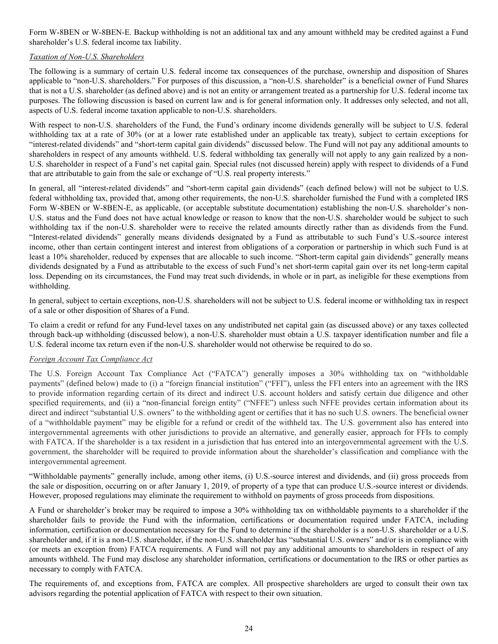Form W-8BEN or W-8BEN-E. Backup withholding is not an additional tax and any amount withheld may be credited against a Fund shareholder's U.S. federal income tax liability.

# *Taxation of Non-U.S. Shareholders*

The following is a summary of certain U.S. federal income tax consequences of the purchase, ownership and disposition of Shares applicable to "non-U.S. shareholders." For purposes of this discussion, a "non-U.S. shareholder" is a beneficial owner of Fund Shares that is not a U.S. shareholder (as defined above) and is not an entity or arrangement treated as a partnership for U.S. federal income tax purposes. The following discussion is based on current law and is for general information only. It addresses only selected, and not all, aspects of U.S. federal income taxation applicable to non-U.S. shareholders.

With respect to non-U.S. shareholders of the Fund, the Fund's ordinary income dividends generally will be subject to U.S. federal withholding tax at a rate of 30% (or at a lower rate established under an applicable tax treaty), subject to certain exceptions for "interest-related dividends" and "short-term capital gain dividends" discussed below. The Fund will not pay any additional amounts to shareholders in respect of any amounts withheld. U.S. federal withholding tax generally will not apply to any gain realized by a non-U.S. shareholder in respect of a Fund's net capital gain. Special rules (not discussed herein) apply with respect to dividends of a Fund that are attributable to gain from the sale or exchange of "U.S. real property interests."

In general, all "interest-related dividends" and "short-term capital gain dividends" (each defined below) will not be subject to U.S. federal withholding tax, provided that, among other requirements, the non-U.S. shareholder furnished the Fund with a completed IRS Form W-8BEN or W-8BEN-E, as applicable, (or acceptable substitute documentation) establishing the non-U.S. shareholder's non-U.S. status and the Fund does not have actual knowledge or reason to know that the non-U.S. shareholder would be subject to such withholding tax if the non-U.S. shareholder were to receive the related amounts directly rather than as dividends from the Fund. "Interest-related dividends" generally means dividends designated by a Fund as attributable to such Fund's U.S.-source interest income, other than certain contingent interest and interest from obligations of a corporation or partnership in which such Fund is at least a 10% shareholder, reduced by expenses that are allocable to such income. "Short-term capital gain dividends" generally means dividends designated by a Fund as attributable to the excess of such Fund's net short-term capital gain over its net long-term capital loss. Depending on its circumstances, the Fund may treat such dividends, in whole or in part, as ineligible for these exemptions from withholding.

In general, subject to certain exceptions, non-U.S. shareholders will not be subject to U.S. federal income or withholding tax in respect of a sale or other disposition of Shares of a Fund.

To claim a credit or refund for any Fund-level taxes on any undistributed net capital gain (as discussed above) or any taxes collected through back-up withholding (discussed below), a non-U.S. shareholder must obtain a U.S. taxpayer identification number and file a U.S. federal income tax return even if the non-U.S. shareholder would not otherwise be required to do so.

# *Foreign Account Tax Compliance Act*

The U.S. Foreign Account Tax Compliance Act ("FATCA") generally imposes a 30% withholding tax on "withholdable payments" (defined below) made to (i) a "foreign financial institution" ("FFI"), unless the FFI enters into an agreement with the IRS to provide information regarding certain of its direct and indirect U.S. account holders and satisfy certain due diligence and other specified requirements, and (ii) a "non-financial foreign entity" ("NFFE") unless such NFFE provides certain information about its direct and indirect "substantial U.S. owners" to the withholding agent or certifies that it has no such U.S. owners. The beneficial owner of a "withholdable payment" may be eligible for a refund or credit of the withheld tax. The U.S. government also has entered into intergovernmental agreements with other jurisdictions to provide an alternative, and generally easier, approach for FFIs to comply with FATCA. If the shareholder is a tax resident in a jurisdiction that has entered into an intergovernmental agreement with the U.S. government, the shareholder will be required to provide information about the shareholder's classification and compliance with the intergovernmental agreement.

"Withholdable payments" generally include, among other items, (i) U.S.-source interest and dividends, and (ii) gross proceeds from the sale or disposition, occurring on or after January 1, 2019, of property of a type that can produce U.S.-source interest or dividends. However, proposed regulations may eliminate the requirement to withhold on payments of gross proceeds from dispositions.

A Fund or shareholder's broker may be required to impose a 30% withholding tax on withholdable payments to a shareholder if the shareholder fails to provide the Fund with the information, certifications or documentation required under FATCA, including information, certification or documentation necessary for the Fund to determine if the shareholder is a non-U.S. shareholder or a U.S. shareholder and, if it is a non-U.S. shareholder, if the non-U.S. shareholder has "substantial U.S. owners" and/or is in compliance with (or meets an exception from) FATCA requirements. A Fund will not pay any additional amounts to shareholders in respect of any amounts withheld. The Fund may disclose any shareholder information, certifications or documentation to the IRS or other parties as necessary to comply with FATCA.

The requirements of, and exceptions from, FATCA are complex. All prospective shareholders are urged to consult their own tax advisors regarding the potential application of FATCA with respect to their own situation.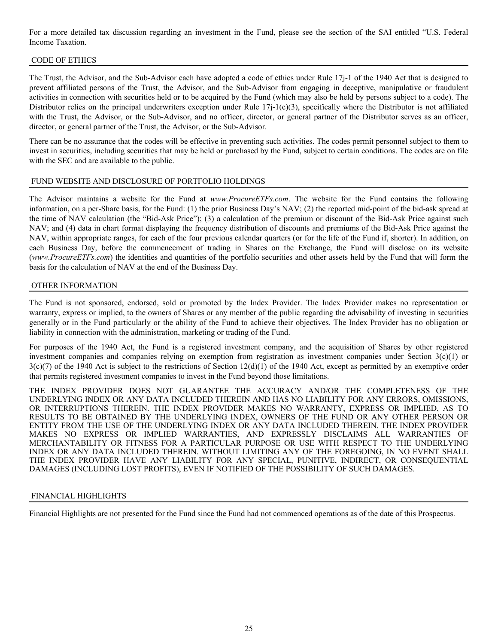<span id="page-27-0"></span>For a more detailed tax discussion regarding an investment in the Fund, please see the section of the SAI entitled "U.S. Federal Income Taxation.

# CODE OF ETHICS

The Trust, the Advisor, and the Sub-Advisor each have adopted a code of ethics under Rule 17j-1 of the 1940 Act that is designed to prevent affiliated persons of the Trust, the Advisor, and the Sub-Advisor from engaging in deceptive, manipulative or fraudulent activities in connection with securities held or to be acquired by the Fund (which may also be held by persons subject to a code). The Distributor relies on the principal underwriters exception under Rule  $17j-1(c)(3)$ , specifically where the Distributor is not affiliated with the Trust, the Advisor, or the Sub-Advisor, and no officer, director, or general partner of the Distributor serves as an officer, director, or general partner of the Trust, the Advisor, or the Sub-Advisor.

There can be no assurance that the codes will be effective in preventing such activities. The codes permit personnel subject to them to invest in securities, including securities that may be held or purchased by the Fund, subject to certain conditions. The codes are on file with the SEC and are available to the public.

# FUND WEBSITE AND DISCLOSURE OF PORTFOLIO HOLDINGS

The Advisor maintains a website for the Fund at *www.ProcureETFs.com*. The website for the Fund contains the following information, on a per-Share basis, for the Fund: (1) the prior Business Day's NAV; (2) the reported mid-point of the bid-ask spread at the time of NAV calculation (the "Bid-Ask Price"); (3) a calculation of the premium or discount of the Bid-Ask Price against such NAV; and (4) data in chart format displaying the frequency distribution of discounts and premiums of the Bid-Ask Price against the NAV, within appropriate ranges, for each of the four previous calendar quarters (or for the life of the Fund if, shorter). In addition, on each Business Day, before the commencement of trading in Shares on the Exchange, the Fund will disclose on its website (*www.ProcureETFs.com*) the identities and quantities of the portfolio securities and other assets held by the Fund that will form the basis for the calculation of NAV at the end of the Business Day.

# OTHER INFORMATION

The Fund is not sponsored, endorsed, sold or promoted by the Index Provider. The Index Provider makes no representation or warranty, express or implied, to the owners of Shares or any member of the public regarding the advisability of investing in securities generally or in the Fund particularly or the ability of the Fund to achieve their objectives. The Index Provider has no obligation or liability in connection with the administration, marketing or trading of the Fund.

For purposes of the 1940 Act, the Fund is a registered investment company, and the acquisition of Shares by other registered investment companies and companies relying on exemption from registration as investment companies under Section 3(c)(1) or  $3(c)(7)$  of the 1940 Act is subject to the restrictions of Section  $12(d)(1)$  of the 1940 Act, except as permitted by an exemptive order that permits registered investment companies to invest in the Fund beyond those limitations.

THE INDEX PROVIDER DOES NOT GUARANTEE THE ACCURACY AND/OR THE COMPLETENESS OF THE UNDERLYING INDEX OR ANY DATA INCLUDED THEREIN AND HAS NO LIABILITY FOR ANY ERRORS, OMISSIONS, OR INTERRUPTIONS THEREIN. THE INDEX PROVIDER MAKES NO WARRANTY, EXPRESS OR IMPLIED, AS TO RESULTS TO BE OBTAINED BY THE UNDERLYING INDEX, OWNERS OF THE FUND OR ANY OTHER PERSON OR ENTITY FROM THE USE OF THE UNDERLYING INDEX OR ANY DATA INCLUDED THEREIN. THE INDEX PROVIDER MAKES NO EXPRESS OR IMPLIED WARRANTIES, AND EXPRESSLY DISCLAIMS ALL WARRANTIES OF MERCHANTABILITY OR FITNESS FOR A PARTICULAR PURPOSE OR USE WITH RESPECT TO THE UNDERLYING INDEX OR ANY DATA INCLUDED THEREIN. WITHOUT LIMITING ANY OF THE FOREGOING, IN NO EVENT SHALL THE INDEX PROVIDER HAVE ANY LIABILITY FOR ANY SPECIAL, PUNITIVE, INDIRECT, OR CONSEQUENTIAL DAMAGES (INCLUDING LOST PROFITS), EVEN IF NOTIFIED OF THE POSSIBILITY OF SUCH DAMAGES.

# FINANCIAL HIGHLIGHTS

Financial Highlights are not presented for the Fund since the Fund had not commenced operations as of the date of this Prospectus.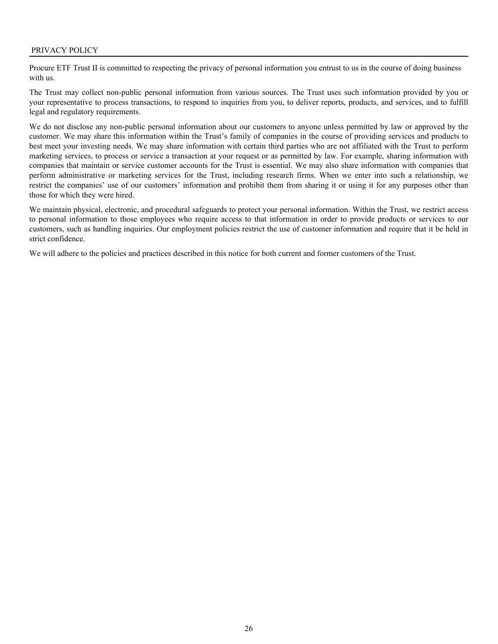<span id="page-28-0"></span>Procure ETF Trust II is committed to respecting the privacy of personal information you entrust to us in the course of doing business with us.

The Trust may collect non-public personal information from various sources. The Trust uses such information provided by you or your representative to process transactions, to respond to inquiries from you, to deliver reports, products, and services, and to fulfill legal and regulatory requirements.

We do not disclose any non-public personal information about our customers to anyone unless permitted by law or approved by the customer. We may share this information within the Trust's family of companies in the course of providing services and products to best meet your investing needs. We may share information with certain third parties who are not affiliated with the Trust to perform marketing services, to process or service a transaction at your request or as permitted by law. For example, sharing information with companies that maintain or service customer accounts for the Trust is essential. We may also share information with companies that perform administrative or marketing services for the Trust, including research firms. When we enter into such a relationship, we restrict the companies' use of our customers' information and prohibit them from sharing it or using it for any purposes other than those for which they were hired.

We maintain physical, electronic, and procedural safeguards to protect your personal information. Within the Trust, we restrict access to personal information to those employees who require access to that information in order to provide products or services to our customers, such as handling inquiries. Our employment policies restrict the use of customer information and require that it be held in strict confidence.

We will adhere to the policies and practices described in this notice for both current and former customers of the Trust.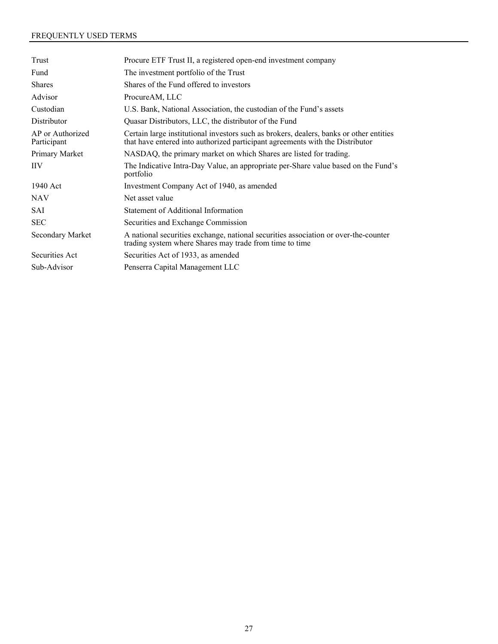# <span id="page-29-0"></span>FREQUENTLY USED TERMS

| Trust                           | Procure ETF Trust II, a registered open-end investment company                                                                                                           |
|---------------------------------|--------------------------------------------------------------------------------------------------------------------------------------------------------------------------|
| Fund                            | The investment portfolio of the Trust                                                                                                                                    |
| <b>Shares</b>                   | Shares of the Fund offered to investors                                                                                                                                  |
| Advisor                         | ProcureAM, LLC                                                                                                                                                           |
| Custodian                       | U.S. Bank, National Association, the custodian of the Fund's assets                                                                                                      |
| Distributor                     | Quasar Distributors, LLC, the distributor of the Fund                                                                                                                    |
| AP or Authorized<br>Participant | Certain large institutional investors such as brokers, dealers, banks or other entities<br>that have entered into authorized participant agreements with the Distributor |
| Primary Market                  | NASDAQ, the primary market on which Shares are listed for trading.                                                                                                       |
| <b>IIV</b>                      | The Indicative Intra-Day Value, an appropriate per-Share value based on the Fund's<br>portfolio                                                                          |
| 1940 Act                        | Investment Company Act of 1940, as amended                                                                                                                               |
| <b>NAV</b>                      | Net asset value                                                                                                                                                          |
| SAI                             | Statement of Additional Information                                                                                                                                      |
| <b>SEC</b>                      | Securities and Exchange Commission                                                                                                                                       |
| Secondary Market                | A national securities exchange, national securities association or over-the-counter<br>trading system where Shares may trade from time to time                           |
| Securities Act                  | Securities Act of 1933, as amended                                                                                                                                       |
| Sub-Advisor                     | Penserra Capital Management LLC                                                                                                                                          |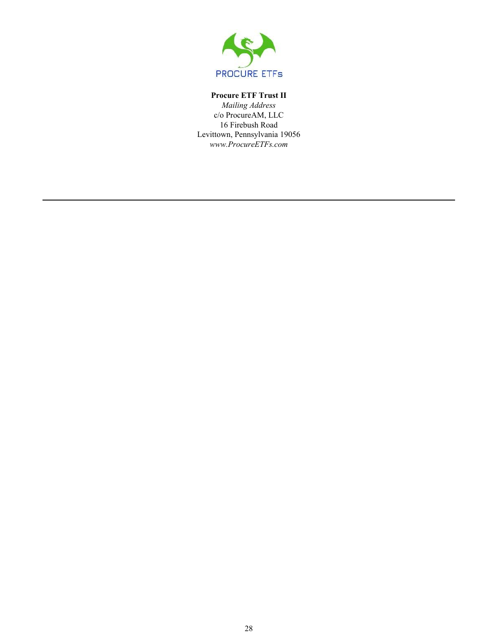

# **Procure ETF Trust II**

*Mailing Address* c/o ProcureAM, LLC 16 Firebush Road Levittown, Pennsylvania 19056 *www.ProcureETFs.com*